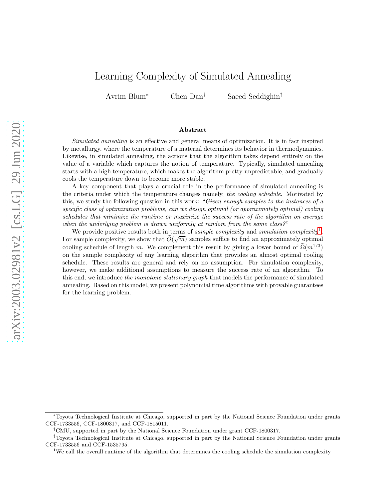# Learning Complexity of Simulated Annealing

Avrim Blum<sup>∗</sup> Chen Dan† Saeed Seddighin‡

#### Abstract

Simulated annealing is an effective and general means of optimization. It is in fact inspired by metallurgy, where the temperature of a material determines its behavior in thermodynamics. Likewise, in simulated annealing, the actions that the algorithm takes depend entirely on the value of a variable which captures the notion of temperature. Typically, simulated annealing starts with a high temperature, which makes the algorithm pretty unpredictable, and gradually cools the temperature down to become more stable.

A key component that plays a crucial role in the performance of simulated annealing is the criteria under which the temperature changes namely, the cooling schedule. Motivated by this, we study the following question in this work: "Given enough samples to the instances of a specific class of optimization problems, can we design optimal (or approximately optimal) cooling schedules that minimize the runtime or maximize the success rate of the algorithm on average when the underlying problem is drawn uniformly at random from the same class?"

We provide positive results both in terms of *sample complexity* and *simulation complexity*<sup>[1](#page-0-0)</sup>. For sample complexity, we show that  $\widetilde{O}(\sqrt{m})$  samples suffice to find an approximately optimal cooling schedule of length m. We complement this result by giving a lower bound of  $\tilde{\Omega}(m^{1/3})$ on the sample complexity of any learning algorithm that provides an almost optimal cooling schedule. These results are general and rely on no assumption. For simulation complexity, however, we make additional assumptions to measure the success rate of an algorithm. To this end, we introduce the monotone stationary graph that models the performance of simulated annealing. Based on this model, we present polynomial time algorithms with provable guarantees for the learning problem.

<sup>∗</sup>Toyota Technological Institute at Chicago, supported in part by the National Science Foundation under grants CCF-1733556, CCF-1800317, and CCF-1815011.

<sup>†</sup>CMU, supported in part by the National Science Foundation under grant CCF-1800317.

<sup>‡</sup>Toyota Technological Institute at Chicago, supported in part by the National Science Foundation under grants CCF-1733556 and CCF-1535795.

<span id="page-0-0"></span><sup>&</sup>lt;sup>1</sup>We call the overall runtime of the algorithm that determines the cooling schedule the simulation complexity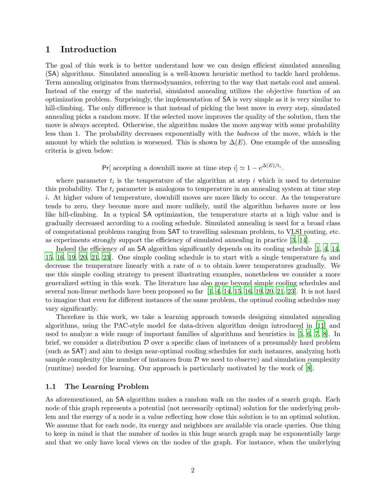### <span id="page-1-0"></span>1 Introduction

The goal of this work is to better understand how we can design efficient simulated annealing (SA) algorithms. Simulated annealing is a well-known heuristic method to tackle hard problems. Term annealing originates from thermodynamics, referring to the way that metals cool and anneal. Instead of the energy of the material, simulated annealing utilizes the objective function of an optimization problem. Surprisingly, the implementation of SA is very simple as it is very similar to hill-climbing. The only difference is that instead of picking the best move in every step, simulated annealing picks a random move. If the selected move improves the quality of the solution, then the move is always accepted. Otherwise, the algorithm makes the move anyway with some probability less than 1. The probability decreases exponentially with the badness of the move, which is the amount by which the solution is worsened. This is shown by  $\Delta(E)$ . One example of the annealing criteria is given below:

Pr[ accepting a downhill move at time step  $i] \simeq 1 - e^{\Delta(E)/t_i}$ .

where parameter  $t_i$  is the temperature of the algorithm at step i which is used to determine this probability. The  $t_i$  parameter is analogous to temperature in an annealing system at time step i. At higher values of temperature, downhill moves are more likely to occur. As the temperature tends to zero, they become more and more unlikely, until the algorithm behaves more or less like hill-climbing. In a typical SA optimization, the temperature starts at a high value and is gradually decreased according to a cooling schedule. Simulated annealing is used for a broad class of computational problems ranging from SAT to travelling salesman problem, to VLSI routing, etc. as experiments strongly support the efficiency of simulated annealing in practice [\[3](#page-34-0), [14\]](#page-34-1).

Indeed the efficiency of an SA algorithm significantly depends on its cooling schedule [\[1](#page-34-2), [4](#page-34-3), [14,](#page-34-1) [15,](#page-34-4) [16](#page-34-5), [19](#page-35-0), [20,](#page-35-1) [21,](#page-35-2) [23](#page-35-3). One simple cooling schedule is to start with a single temperature  $t_0$  and decrease the temperature linearly with a rate of  $\alpha$  to obtain lower temperatures gradually. We use this simple cooling strategy to present illustrating examples, nonetheless we consider a more generalized setting in this work. The literature has also gone beyond simple cooling schedules and several non-linear methods have been proposed so far  $[1, 4, 14, 15, 16, 19, 20, 21, 23]$  $[1, 4, 14, 15, 16, 19, 20, 21, 23]$  $[1, 4, 14, 15, 16, 19, 20, 21, 23]$  $[1, 4, 14, 15, 16, 19, 20, 21, 23]$  $[1, 4, 14, 15, 16, 19, 20, 21, 23]$  $[1, 4, 14, 15, 16, 19, 20, 21, 23]$  $[1, 4, 14, 15, 16, 19, 20, 21, 23]$  $[1, 4, 14, 15, 16, 19, 20, 21, 23]$  $[1, 4, 14, 15, 16, 19, 20, 21, 23]$  $[1, 4, 14, 15, 16, 19, 20, 21, 23]$  $[1, 4, 14, 15, 16, 19, 20, 21, 23]$  $[1, 4, 14, 15, 16, 19, 20, 21, 23]$  $[1, 4, 14, 15, 16, 19, 20, 21, 23]$  $[1, 4, 14, 15, 16, 19, 20, 21, 23]$  $[1, 4, 14, 15, 16, 19, 20, 21, 23]$ . It is not hard to imagine that even for different instances of the same problem, the optimal cooling schedules may vary significantly.

Therefore in this work, we take a learning approach towards designing simulated annealing algorithms, using the PAC-style model for data-driven algorithm design introduced in [\[11](#page-34-6)] and used to analyze a wide range of important families of algorithms and heuristics in [\[5](#page-34-7), [6,](#page-34-8) [7](#page-34-9), [8\]](#page-34-10). In brief, we consider a distribution  $D$  over a specific class of instances of a presumably hard problem (such as SAT) and aim to design near-optimal cooling schedules for such instances, analyzing both sample complexity (the number of instances from  $D$  we need to observe) and simulation complexity (runtime) needed for learning. Our approach is particularly motivated by the work of [\[8\]](#page-34-10).

### 1.1 The Learning Problem

As aforementioned, an SA algorithm makes a random walk on the nodes of a search graph. Each node of this graph represents a potential (not necessarily optimal) solution for the underlying problem and the energy of a node is a value reflecting how close this solution is to an optimal solution. We assume that for each node, its energy and neighbors are available via oracle queries. One thing to keep in mind is that the number of nodes in this huge search graph may be exponentially large and that we only have local views on the nodes of the graph. For instance, when the underlying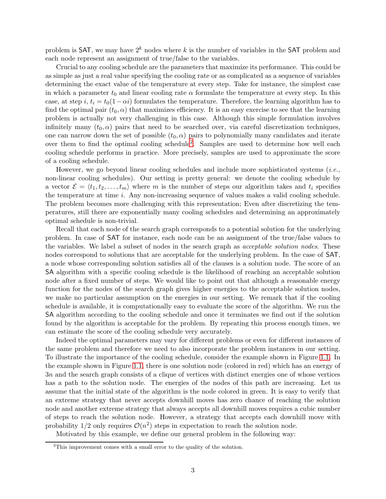problem is SAT, we may have  $2^k$  nodes where k is the number of variables in the SAT problem and each node represent an assignment of true/false to the variables.

Crucial to any cooling schedule are the parameters that maximize its performance. This could be as simple as just a real value specifying the cooling rate or as complicated as a sequence of variables determining the exact value of the temperature at every step. Take for instance, the simplest case in which a parameter  $t_0$  and linear cooling rate  $\alpha$  formulate the temperature at every step. In this case, at step i,  $t_i = t_0(1-\alpha i)$  formulates the temperature. Therefore, the learning algorithm has to find the optimal pair  $(t_0, \alpha)$  that maximizes efficiency. It is an easy exercise to see that the learning problem is actually not very challenging in this case. Although this simple formulation involves infinitely many  $(t_0, \alpha)$  pairs that need to be searched over, via careful discretization techniques. one can narrow down the set of possible  $(t_0, \alpha)$  pairs to polynomially many candidates and iterate over them to find the optimal cooling schedule<sup>[2](#page-2-0)</sup>. Samples are used to determine how well each cooling schedule performs in practice. More precisely, samples are used to approximate the score of a cooling schedule.

However, we go beyond linear cooling schedules and include more sophisticated systems (i.e., non-linear cooling schedules). Our setting is pretty general: we denote the cooling schedule by a vector  $\mathcal{E} = \langle t_1, t_2, \ldots, t_m \rangle$  where m is the number of steps our algorithm takes and  $t_i$  specifies the temperature at time i. Any non-increasing sequence of values makes a valid cooling schedule. The problem becomes more challenging with this representation; Even after discretizing the temperatures, still there are exponentially many cooling schedules and determining an approximately optimal schedule is non-trivial.

Recall that each node of the search graph corresponds to a potential solution for the underlying problem. In case of SAT for instance, each node can be an assignment of the true/false values to the variables. We label a subset of nodes in the search graph as acceptable solution nodes. These nodes correspond to solutions that are acceptable for the underlying problem. In the case of SAT, a node whose corresponding solution satisfies all of the clauses is a solution node. The score of an SA algorithm with a specific cooling schedule is the likelihood of reaching an acceptable solution node after a fixed number of steps. We would like to point out that although a reasonable energy function for the nodes of the search graph gives higher energies to the acceptable solution nodes, we make no particular assumption on the energies in our setting. We remark that if the cooling schedule is available, it is computationally easy to evaluate the score of the algorithm. We run the SA algorithm according to the cooling schedule and once it terminates we find out if the solution found by the algorithm is acceptable for the problem. By repeating this process enough times, we can estimate the score of the cooling schedule very accurately.

Indeed the optimal parameters may vary for different problems or even for different instances of the same problem and therefore we need to also incorporate the problem instances in our setting. To illustrate the importance of the cooling schedule, consider the example shown in Figure [1.1.](#page-3-0) In the example shown in Figure [1.1,](#page-3-0) there is one solution node (colored in red) which has an energy of 3n and the search graph consists of a clique of vertices with distinct energies one of whose vertices has a path to the solution node. The energies of the nodes of this path are increasing. Let us assume that the initial state of the algorithm is the node colored in green. It is easy to verify that an extreme strategy that never accepts downhill moves has zero chance of reaching the solution node and another extreme strategy that always accepts all downhill moves requires a cubic number of steps to reach the solution node. However, a strategy that accepts each downhill move with probability  $1/2$  only requires  $\mathcal{O}(n^2)$  steps in expectation to reach the solution node.

Motivated by this example, we define our general problem in the following way:

<span id="page-2-0"></span><sup>&</sup>lt;sup>2</sup>This improvement comes with a small error to the quality of the solution.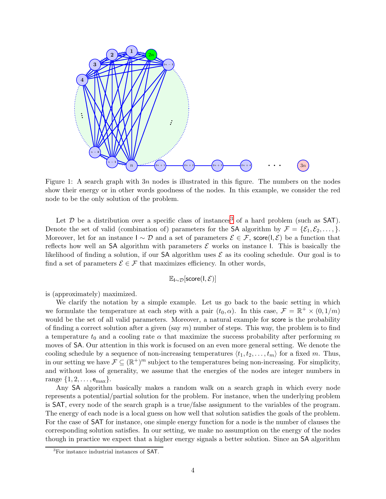<span id="page-3-0"></span>

Figure 1: A search graph with  $3n$  nodes is illustrated in this figure. The numbers on the nodes show their energy or in other words goodness of the nodes. In this example, we consider the red node to be the only solution of the problem.

Let  $D$  be a distribution over a specific class of instances<sup>[3](#page-3-1)</sup> of a hard problem (such as SAT). Denote the set of valid (combination of) parameters for the SA algorithm by  $\mathcal{F} = {\mathcal{E}_1, \mathcal{E}_2, \ldots, \}$ . Moreover, let for an instance  $I \sim \mathcal{D}$  and a set of parameters  $\mathcal{E} \in \mathcal{F}$ , score(I,  $\mathcal{E}$ ) be a function that reflects how well an SA algorithm with parameters  $\mathcal E$  works on instance I. This is basically the likelihood of finding a solution, if our **SA** algorithm uses  $\mathcal{E}$  as its cooling schedule. Our goal is to find a set of parameters  $\mathcal{E} \in \mathcal{F}$  that maximizes efficiency. In other words,

$$
\mathbb{E}_{\mathsf{I} \sim \mathcal{D}}[\mathsf{score}(\mathsf{I}, \mathcal{E})]
$$

is (approximately) maximized.

We clarify the notation by a simple example. Let us go back to the basic setting in which we formulate the temperature at each step with a pair  $(t_0, \alpha)$ . In this case,  $\mathcal{F} = \mathbb{R}^+ \times (0, 1/m)$ would be the set of all valid parameters. Moreover, a natural example for score is the probability of finding a correct solution after a given (say  $m$ ) number of steps. This way, the problem is to find a temperature  $t_0$  and a cooling rate  $\alpha$  that maximize the success probability after performing m moves of SA. Our attention in this work is focused on an even more general setting. We denote the cooling schedule by a sequence of non-increasing temperatures  $\langle t_1, t_2, \ldots, t_m \rangle$  for a fixed m. Thus, in our setting we have  $\mathcal{F} \subseteq (\mathbb{R}^+)^m$  subject to the temperatures being non-increasing. For simplicity, and without loss of generality, we assume that the energies of the nodes are integer numbers in range  $\{1, 2, \ldots, e_{\text{max}}\}.$ 

Any SA algorithm basically makes a random walk on a search graph in which every node represents a potential/partial solution for the problem. For instance, when the underlying problem is SAT, every node of the search graph is a true/false assignment to the variables of the program. The energy of each node is a local guess on how well that solution satisfies the goals of the problem. For the case of SAT for instance, one simple energy function for a node is the number of clauses the corresponding solution satisfies. In our setting, we make no assumption on the energy of the nodes though in practice we expect that a higher energy signals a better solution. Since an SA algorithm

<span id="page-3-1"></span><sup>&</sup>lt;sup>3</sup>For instance industrial instances of **SAT**.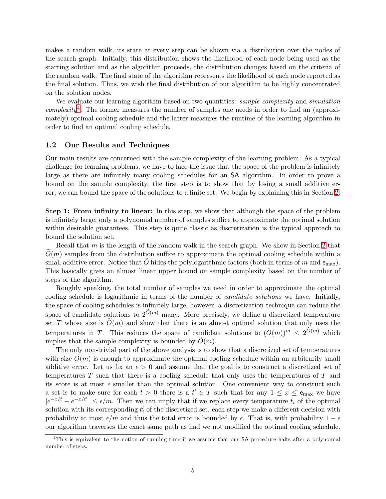makes a random walk, its state at every step can be shown via a distribution over the nodes of the search graph. Initially, this distribution shows the likelihood of each node being used as the starting solution and as the algorithm proceeds, the distribution changes based on the criteria of the random walk. The final state of the algorithm represents the likelihood of each node reported as the final solution. Thus, we wish the final distribution of our algorithm to be highly concentrated on the solution nodes.

We evaluate our learning algorithm based on two quantities: *sample complexity* and *simulation* complexity<sup>[4](#page-4-0)</sup>. The former measures the number of samples one needs in order to find an (approximately) optimal cooling schedule and the latter measures the runtime of the learning algorithm in order to find an optimal cooling schedule.

#### 1.2 Our Results and Techniques

Our main results are concerned with the sample complexity of the learning problem. As a typical challenge for learning problems, we have to face the issue that the space of the problem is infinitely large as there are infinitely many cooling schedules for an SA algorithm. In order to prove a bound on the sample complexity, the first step is to show that by losing a small additive error, we can bound the space of the solutions to a finite set. We begin by explaining this in Section [2.](#page-9-0)

Step 1: From infinity to linear: In this step, we show that although the space of the problem is infinitely large, only a polynomial number of samples suffice to approximate the optimal solution within desirable guarantees. This step is quite classic as discretization is the typical approach to bound the solution set.

Recall that  $m$  is the length of the random walk in the search graph. We show in Section [2](#page-9-0) that  $O(m)$  samples from the distribution suffice to approximate the optimal cooling schedule within a small additive error. Notice that O hides the polylogarithmic factors (both in terms of m and  $e_{\text{max}}$ ). This basically gives an almost linear upper bound on sample complexity based on the number of steps of the algorithm.

Roughly speaking, the total number of samples we need in order to approximate the optimal cooling schedule is logarithmic in terms of the number of candidate solutions we have. Initially, the space of cooling schedules is infinitely large, however, a discretization technique can reduce the space of candidate solutions to  $2^{\tilde{O}(m)}$  many. More precisely, we define a discretized temperature set T whose size is  $\tilde{O}(m)$  and show that there is an almost optimal solution that only uses the temperatures in T. This reduces the space of candidate solutions to  $(O(m))^m \leq 2^{O(m)}$  which implies that the sample complexity is bounded by  $O(m)$ .

The only non-trivial part of the above analysis is to show that a discretized set of temperatures with size  $\tilde{O}(m)$  is enough to approximate the optimal cooling schedule within an arbitrarily small additive error. Let us fix an  $\epsilon > 0$  and assume that the goal is to construct a discretized set of temperatures  $T$  such that there is a cooling schedule that only uses the temperatures of  $T$  and its score is at most  $\epsilon$  smaller than the optimal solution. One convenient way to construct such a set is to make sure for each  $t > 0$  there is a  $t' \in T$  such that for any  $1 \leq x \leq e_{\text{max}}$  we have  $|e^{-x/t} - e^{-x/t'}| \le \epsilon/m$ . Then we can imply that if we replace every temperature  $t_i$  of the optimal solution with its corresponding  $t_i'$  of the discretized set, each step we make a different decision with probability at most  $\epsilon/m$  and thus the total error is bounded by  $\epsilon$ . That is, with probability 1 –  $\epsilon$ our algorithm traverses the exact same path as had we not modified the optimal cooling schedule.

<span id="page-4-0"></span><sup>&</sup>lt;sup>4</sup>This is equivalent to the notion of running time if we assume that our SA procedure halts after a polynomial number of steps.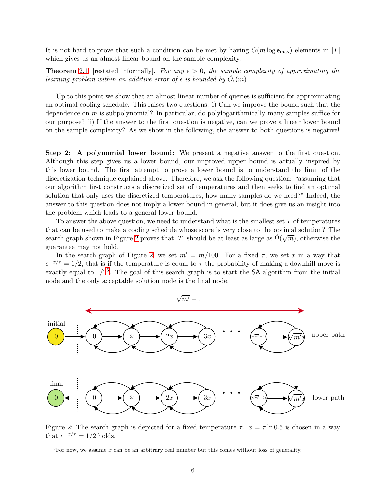It is not hard to prove that such a condition can be met by having  $O(m \log e_{\max})$  elements in  $|T|$ which gives us an almost linear bound on the sample complexity.

**Theorem** [2.1,](#page-9-1) [restated informally]. For any  $\epsilon > 0$ , the sample complexity of approximating the learning problem within an additive error of  $\epsilon$  is bounded by  $O_{\epsilon}(m)$ .

Up to this point we show that an almost linear number of queries is sufficient for approximating an optimal cooling schedule. This raises two questions: i) Can we improve the bound such that the dependence on  $m$  is subpolynomial? In particular, do polylogarithmically many samples suffice for our purpose? ii) If the answer to the first question is negative, can we prove a linear lower bound on the sample complexity? As we show in the following, the answer to both questions is negative!

Step 2: A polynomial lower bound: We present a negative answer to the first question. Although this step gives us a lower bound, our improved upper bound is actually inspired by this lower bound. The first attempt to prove a lower bound is to understand the limit of the discretization technique explained above. Therefore, we ask the following question: "assuming that our algorithm first constructs a discretized set of temperatures and then seeks to find an optimal solution that only uses the discretized temperatures, how many samples do we need?" Indeed, the answer to this question does not imply a lower bound in general, but it does give us an insight into the problem which leads to a general lower bound.

To answer the above question, we need to understand what is the smallest set  $T$  of temperatures that can be used to make a cooling schedule whose score is very close to the optimal solution? The search graph shown in Figure [2](#page-5-0) proves that |T| should be at least as large as  $\tilde{\Omega}(\sqrt{m})$ , otherwise the guarantee may not hold.

In the search graph of Figure [2,](#page-5-0) we set  $m' = m/100$ . For a fixed  $\tau$ , we set x in a way that  $e^{-x/\tau} = 1/2$ , that is if the temperature is equal to  $\tau$  the probability of making a downhill move is exactly equal to  $1/2^5$  $1/2^5$ . The goal of this search graph is to start the SA algorithm from the initial node and the only acceptable solution node is the final node.

<span id="page-5-0"></span>

Figure 2: The search graph is depicted for a fixed temperature  $\tau$ .  $x = \tau \ln 0.5$  is chosen in a way that  $e^{-x/\tau} = 1/2$  holds.

<span id="page-5-1"></span><sup>&</sup>lt;sup>5</sup>For now, we assume x can be an arbitrary real number but this comes without loss of generality.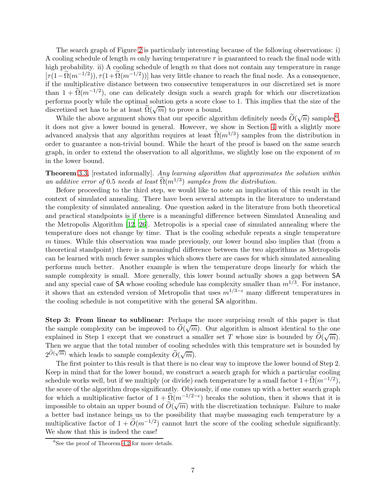The search graph of Figure [2](#page-5-0) is particularly interesting because of the following observations: i) A cooling schedule of length m only having temperature  $\tau$  is guaranteed to reach the final node with high probability. ii) A cooling schedule of length  $m$  that does not contain any temperature in range  $[\tau(1-\Omega(m^{-1/2})), \tau(1+\Omega(m^{-1/2}))]$  has very little chance to reach the final node. As a consequence, if the multiplicative distance between two consecutive temperatures in our discretized set is more than  $1 + \tilde{\Omega}(m^{-1/2})$ , one can delicately design such a search graph for which our discretization performs poorly while the optimal solution gets a score close to 1. This implies that the size of the discretized set has to be at least  $\widetilde{\Omega}(\sqrt{m})$  to prove a bound.

While the above argument shows that our specific algorithm definitely needs  $\tilde{O}(\sqrt{n})$  samples<sup>[6](#page-6-0)</sup>, it does not give a lower bound in general. However, we show in Section [4](#page-17-0) with a slightly more advanced analysis that any algorithm requires at least  $\tilde{\Omega}(m^{1/3})$  samples from the distribution in order to guarantee a non-trivial bound. While the heart of the proof is based on the same search graph, in order to extend the observation to all algorithms, we slightly lose on the exponent of  $m$ in the lower bound.

Theorem [3.3,](#page-15-0) [restated informally]. Any learning algorithm that approximates the solution within an additive error of 0.5 needs at least  $\tilde{\Omega}(m^{1/3})$  samples from the distribution.

Before proceeding to the third step, we would like to note an implication of this result in the context of simulated annealing. There have been several attempts in the literature to understand the complexity of simulated annealing. One question asked in the literature from both theoretical and practical standpoints is if there is a meaningful difference between Simulated Annealing and the Metropolis Algorithm [\[12](#page-34-11), [26](#page-35-4)]. Metropolis is a special case of simulated annealing where the temperature does not change by time. That is the cooling schedule repeats a single temperature m times. While this observation was made previously, our lower bound also implies that (from a theoretical standpoint) there is a meaningful difference between the two algorithms as Metropolis can be learned with much fewer samples which shows there are cases for which simulated annealing performs much better. Another example is when the temperature drops linearly for which the sample complexity is small. More generally, this lower bound actually shows a gap between SA and any special case of SA whose cooling schedule has complexity smaller than  $m^{1/3}$ . For instance, it shows that an extended version of Metropolis that uses  $m^{1/3-\epsilon}$  many different temperatures in the cooling schedule is not competitive with the general SA algorithm.

Step 3: From linear to sublinear: Perhaps the more surprising result of this paper is that the sample complexity can be improved to  $\tilde{O}(\sqrt{m})$ . Our algorithm is almost identical to the one explained in Step 1 except that we construct a smaller set T whose size is bounded by  $\widetilde{O}(\sqrt{m})$ . Then we argue that the total number of cooling schedules with this temprature set is bounded by  $2^{\tilde{O}(\sqrt{m})}$  which leads to sample complexity  $\tilde{O}(\sqrt{m})$ .

The first pointer to this result is that there is no clear way to improve the lower bound of Step 2. Keep in mind that for the lower bound, we construct a search graph for which a particular cooling schedule works well, but if we multiply (or divide) each temperature by a small factor  $1+\tilde{\Omega}(m^{-1/2})$ , the score of the algorithm drops significantly. Obviously, if one comes up with a better search graph for which a multiplicative factor of  $1 + \tilde{Q}(m^{-1/2-\epsilon})$  breaks the solution, then it shows that it is impossible to obtain an upper bound of  $\tilde{O}(\sqrt{m})$  with the discretization technique. Failure to make a better bad instance brings us to the possibility that maybe massaging each temperature by a multiplicative factor of  $1 + \tilde{O}(m^{-1/2})$  cannot hurt the score of the cooling schedule significantly. We show that this is indeed the case!

<span id="page-6-0"></span><sup>6</sup> See the proof of Theorem [4.2](#page-23-0) for more details.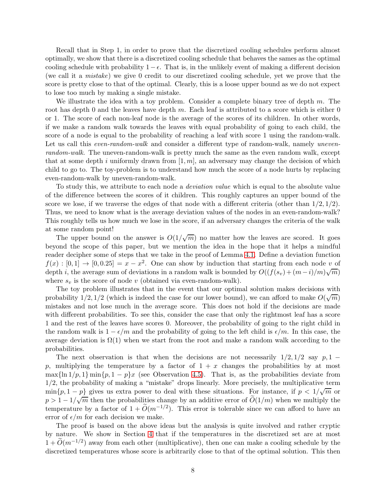Recall that in Step 1, in order to prove that the discretized cooling schedules perform almost optimally, we show that there is a discretized cooling schedule that behaves the sames as the optimal cooling schedule with probability  $1 - \epsilon$ . That is, in the unlikely event of making a different decision (we call it a mistake) we give 0 credit to our discretized cooling schedule, yet we prove that the score is pretty close to that of the optimal. Clearly, this is a loose upper bound as we do not expect to lose too much by making a single mistake.

We illustrate the idea with a toy problem. Consider a complete binary tree of depth  $m$ . The root has depth 0 and the leaves have depth  $m$ . Each leaf is attributed to a score which is either 0 or 1. The score of each non-leaf node is the average of the scores of its children. In other words, if we make a random walk towards the leaves with equal probability of going to each child, the score of a node is equal to the probability of reaching a leaf with score 1 using the random-walk. Let us call this *even-random-walk* and consider a different type of random-walk, namely *uneven*random-walk. The uneven-random-walk is pretty much the same as the even random walk, except that at some depth i uniformly drawn from  $[1, m]$ , an adversary may change the decision of which child to go to. The toy-problem is to understand how much the score of a node hurts by replacing even-random-walk by uneven-random-walk.

To study this, we attribute to each node a deviation value which is equal to the absolute value of the difference between the scores of it children. This roughly captures an upper bound of the score we lose, if we traverse the edges of that node with a different criteria (other than  $1/2$ ,  $1/2$ ). Thus, we need to know what is the average deviation values of the nodes in an even-random-walk? This roughly tells us how much we lose in the score, if an adversary changes the criteria of the walk at some random point!

The upper bound on the answer is  $O(1/\sqrt{m})$  no matter how the leaves are scored. It goes beyond the scope of this paper, but we mention the idea in the hope that it helps a mindful reader decipher some of steps that we take in the proof of Lemma [4.1.](#page-18-0) Define a deviation function  $f(x) : [0,1] \to [0,0.25] = x - x^2$ . One can show by induction that starting from each node v of depth *i*, the average sum of deviations in a random walk is bounded by  $O((f(s_v) + (m-i)/m)\sqrt{m})$ where  $s_v$  is the score of node v (obtained via even-random-walk).

The toy problem illustrates that in the event that our optimal solution makes decisions with probability  $1/2$ ,  $1/2$  (which is indeed the case for our lower bound), we can afford to make  $O(\sqrt{m})$ mistakes and not lose much in the average score. This does not hold if the decisions are made with different probabilities. To see this, consider the case that only the rightmost leaf has a score 1 and the rest of the leaves have scores 0. Moreover, the probability of going to the right child in the random walk is  $1 - \epsilon/m$  and the probability of going to the left child is  $\epsilon/m$ . In this case, the average deviation is  $\Omega(1)$  when we start from the root and make a random walk according to the probabilities.

The next observation is that when the decisions are not necessarily  $1/2$ ,  $1/2$  say p, 1 − p, multiplying the temperature by a factor of  $1 + x$  changes the probabilities by at most max $\{\ln 1/p, 1\}$  min $\{p, 1 - p\}x$  (see Observation [4.5\)](#page-17-1). That is, as the probabilities deviate from 1/2, the probability of making a "mistake" drops linearly. More precisely, the multiplicative term  $\min\{p, 1-p\}$  gives us extra power to deal with these situations. For instance, if  $p < 1/\sqrt{m}$  or  $p > 1 - 1/\sqrt{m}$  then the probabilities change by an additive error of  $\tilde{O}(1/m)$  when we multiply the temperature by a factor of  $1 + \widetilde{O}(m^{-1/2})$ . This error is tolerable since we can afford to have an error of  $\epsilon/m$  for each decision we make.

The proof is based on the above ideas but the analysis is quite involved and rather cryptic by nature. We show in Section [4](#page-17-0) that if the temperatures in the discretized set are at most  $1 + \widetilde{O}(m^{-1/2})$  away from each other (multiplicative), then one can make a cooling schedule by the discretized temperatures whose score is arbitrarily close to that of the optimal solution. This then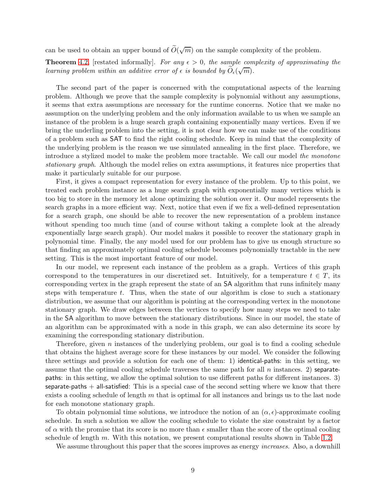can be used to obtain an upper bound of  $\tilde{O}(\sqrt{m})$  on the sample complexity of the problem.

**Theorem** [4.2,](#page-23-0) [restated informally]. For any  $\epsilon > 0$ , the sample complexity of approximating the learning problem within an additive error of  $\epsilon$  is bounded by  $\widetilde{O}_{\epsilon}(\sqrt{m})$ .

The second part of the paper is concerned with the computational aspects of the learning problem. Although we prove that the sample complexity is polynomial without any assumptions, it seems that extra assumptions are necessary for the runtime concerns. Notice that we make no assumption on the underlying problem and the only information available to us when we sample an instance of the problem is a huge search graph containing exponentially many vertices. Even if we bring the underling problem into the setting, it is not clear how we can make use of the conditions of a problem such as SAT to find the right cooling schedule. Keep in mind that the complexity of the underlying problem is the reason we use simulated annealing in the first place. Therefore, we introduce a stylized model to make the problem more tractable. We call our model the monotone stationary graph. Although the model relies on extra assumptions, it features nice properties that make it particularly suitable for our purpose.

First, it gives a compact representation for every instance of the problem. Up to this point, we treated each problem instance as a huge search graph with exponentially many vertices which is too big to store in the memory let alone optimizing the solution over it. Our model represents the search graphs in a more efficient way. Next, notice that even if we fix a well-defined representation for a search graph, one should be able to recover the new representation of a problem instance without spending too much time (and of course without taking a complete look at the already exponentially large search graph). Our model makes it possible to recover the stationary graph in polynomial time. Finally, the any model used for our problem has to give us enough structure so that finding an approximately optimal cooling schedule becomes polynomially tractable in the new setting. This is the most important feature of our model.

In our model, we represent each instance of the problem as a graph. Vertices of this graph correspond to the temperatures in our discretized set. Intuitively, for a temperature  $t \in T$ , its corresponding vertex in the graph represent the state of an SA algorithm that runs infinitely many steps with temperature  $t$ . Thus, when the state of our algorithm is close to such a stationary distribution, we assume that our algorithm is pointing at the corresponding vertex in the monotone stationary graph. We draw edges between the vertices to specify how many steps we need to take in the SA algorithm to move between the stationary distributions. Since in our model, the state of an algorithm can be approximated with a node in this graph, we can also determine its score by examining the corresponding stationary distribution.

Therefore, given n instances of the underlying problem, our goal is to find a cooling schedule that obtains the highest average score for these instances by our model. We consider the following three settings and provide a solution for each one of them: 1) identical-paths: in this setting, we assume that the optimal cooling schedule traverses the same path for all  $n$  instances. 2) separatepaths: in this setting, we allow the optimal solution to use different paths for different instances. 3) separate-paths  $+$  all-satisfied: This is a special case of the second setting where we know that there exists a cooling schedule of length  $m$  that is optimal for all instances and brings us to the last node for each monotone stationary graph.

To obtain polynomial time solutions, we introduce the notion of an  $(\alpha, \epsilon)$ -approximate cooling schedule. In such a solution we allow the cooling schedule to violate the size constraint by a factor of  $\alpha$  with the promise that its score is no more than  $\epsilon$  smaller than the score of the optimal cooling schedule of length m. With this notation, we present computational results shown in Table [1.2.](#page-9-2)

We assume throughout this paper that the scores improves as energy *increases*. Also, a downhill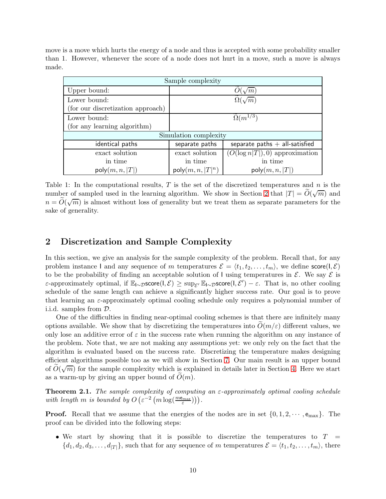<span id="page-9-2"></span>move is a move which hurts the energy of a node and thus is accepted with some probability smaller than 1. However, whenever the score of a node does not hurt in a move, such a move is always made.

| Sample complexity                 |                     |                                  |  |
|-----------------------------------|---------------------|----------------------------------|--|
| Upper bound:                      | $\sqrt{m}$          |                                  |  |
| Lower bound:                      | $\Omega(\sqrt{m})$  |                                  |  |
| (for our discretization approach) |                     |                                  |  |
| Lower bound:                      | $\Omega(m^{1/3})$   |                                  |  |
| (for any learning algorithm)      |                     |                                  |  |
| Simulation complexity             |                     |                                  |  |
| identical paths                   | separate paths      | separate paths $+$ all-satisfied |  |
| exact solution                    | exact solution      | $(O(\log n T ),0)$ approximation |  |
| in time                           | in time             | in time                          |  |
| poly(m, n,  T )                   | $poly(m, n,  T ^n)$ | poly(m, n,  T )                  |  |

Table 1: In the computational results,  $T$  is the set of the discretized temperatures and  $n$  is the number of sampled used in the learning algorithm. We show in Section [2](#page-9-0) that  $|T| = \tilde{O}(\sqrt{m})$  and  $n = \widetilde{O}(\sqrt{m})$  is almost without loss of generality but we treat them as separate parameters for the sake of generality.

## <span id="page-9-0"></span>2 Discretization and Sample Complexity

In this section, we give an analysis for the sample complexity of the problem. Recall that, for any problem instance I and any sequence of m temperatures  $\mathcal{E} = \langle t_1, t_2, \ldots, t_m \rangle$ , we define score $(I, \mathcal{E})$ to be the probability of finding an acceptable solution of I using temperatures in  $\mathcal{E}$ . We say  $\mathcal{E}$  is ε-approximately optimal, if  $\mathbb{E}_{I\sim\mathcal{D}}$ score $(I,\mathcal{E})$  ≥ sup<sub>ε</sub>  $\mathbb{E}_{I\sim\mathcal{D}}$ score $(I,\mathcal{E}')$  − ε. That is, no other cooling schedule of the same length can achieve a significantly higher success rate. Our goal is to prove that learning an  $\varepsilon$ -approximately optimal cooling schedule only requires a polynomial number of i.i.d. samples from D.

One of the difficulties in finding near-optimal cooling schemes is that there are infinitely many options available. We show that by discretizing the temperatures into  $O(m/\varepsilon)$  different values, we only lose an additive error of  $\varepsilon$  in the success rate when running the algorithm on any instance of the problem. Note that, we are not making any assumptions yet: we only rely on the fact that the algorithm is evaluated based on the success rate. Discretizing the temperature makes designing efficient algorithms possible too as we will show in Section [7.](#page-29-0) Our main result is an upper bound of  $\tilde{O}(\sqrt{m})$  for the sample complexity which is explained in details later in Section [4.](#page-17-0) Here we start as a warm-up by giving an upper bound of  $\tilde{O}(m)$ .

<span id="page-9-1"></span>**Theorem 2.1.** The sample complexity of computing an  $\varepsilon$ -approximately optimal cooling schedule with length m is bounded by  $O\left(\varepsilon^{-2}\left(m\log(\frac{m\epsilon_{max}}{\varepsilon})\right)\right)$ .

**Proof.** Recall that we assume that the energies of the nodes are in set  $\{0, 1, 2, \dots, e_{\text{max}}\}$ . The proof can be divided into the following steps:

• We start by showing that it is possible to discretize the temperatures to  $T =$  ${d_1, d_2, d_3, \ldots, d_{|T|}}$ , such that for any sequence of m temperatures  $\mathcal{E} = \langle t_1, t_2, \ldots, t_m \rangle$ , there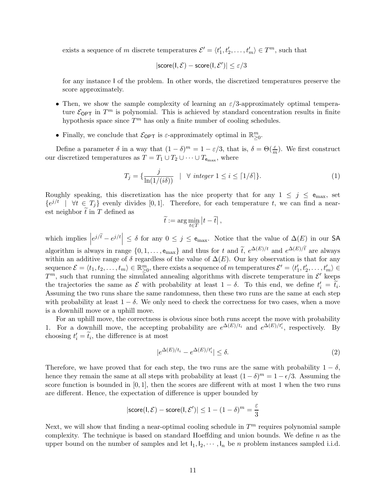exists a sequence of m discrete temperatures  $\mathcal{E}' = \langle t'_1, t'_2, \dots, t'_m \rangle \in T^m$ , such that

$$
|\mathsf{score}(\mathsf{I}, \mathcal{E}) - \mathsf{score}(\mathsf{I}, \mathcal{E}')| \leq \varepsilon/3
$$

for any instance I of the problem. In other words, the discretized temperatures preserve the score approximately.

- Then, we show the sample complexity of learning an  $\varepsilon/3$ -approximately optimal temperature  $\mathcal{E}_{\text{OPT}}$  in  $T^m$  is polynomial. This is achieved by standard concentration results in finite hypothesis space since  $T<sup>m</sup>$  has only a finite number of cooling schedules.
- Finally, we conclude that  $\mathcal{E}_{\text{OPT}}$  is  $\varepsilon$ -approximately optimal in  $\mathbb{R}^m_{\geq 0}$ .

Define a parameter  $\delta$  in a way that  $(1 - \delta)^m = 1 - \varepsilon/3$ , that is,  $\delta = \Theta(\frac{\varepsilon}{m})$ . We first construct our discretized temperatures as  $T = T_1 \cup T_2 \cup \cdots \cup T_{e_{\text{max}}}$ , where

<span id="page-10-0"></span>
$$
T_j = \{ \frac{j}{\ln(1/(i\delta))} \mid \forall \ integer \ 1 \le i \le \lceil 1/\delta \rceil \}. \tag{1}
$$

Roughly speaking, this discretization has the nice property that for any  $1 \leq j \leq e_{\text{max}}$ , set  ${e^{j/t} \mid \forall t \in T_j }$  evenly divides [0,1]. Therefore, for each temperature t, we can find a nearest neighbor  $\tilde{t}$  in T defined as

$$
\widetilde{t} := \arg\min_{t \in T} |t - \widetilde{t}|,
$$

which implies  $|e^{j/\tilde{t}}-e^{j/t}| \leq \delta$  for any  $0 \leq j \leq e_{\text{max}}$ . Notice that the value of  $\Delta(E)$  in our SA algorithm is always in range  $\{0, 1, \ldots, e_{\text{max}}\}$  and thus for t and  $\tilde{t}$ ,  $e^{\Delta(E)/t}$  and  $e^{\Delta(E)/t}$  are always within an additive range of  $\delta$  regardless of the value of  $\Delta(E)$ . Our key observation is that for any sequence  $\mathcal{E} = \langle t_1, t_2, \ldots, t_m \rangle \in \mathbb{R}^m_{\geq 0}$ , there exists a sequence of m temperatures  $\mathcal{E}' = \langle t'_1, t'_2, \ldots, t'_m \rangle \in \mathbb{R}^m$  $T^m$ , such that running the simulated annealing algorithms with discrete temperature in  $\mathcal{E}'$  keeps the trajectories the same as  $\mathcal E$  with probability at least  $1 - \delta$ . To this end, we define  $t'_i = t_i$ . Assuming the two runs share the same randomness, then these two runs are the same at each step with probability at least  $1 - \delta$ . We only need to check the correctness for two cases, when a move is a downhill move or a uphill move.

For an uphill move, the correctness is obvious since both runs accept the move with probability 1. For a downhill move, the accepting probability are  $e^{\Delta(E)/t_i}$  and  $e^{\Delta(E)/t_i'}$ , respectively. By choosing  $t'_i = t_i$ , the difference is at most

$$
|e^{\Delta(E)/t_i} - e^{\Delta(E)/t_i'}| \le \delta. \tag{2}
$$

Therefore, we have proved that for each step, the two runs are the same with probability  $1 - \delta$ , hence they remain the same at all steps with probability at least  $(1 - \delta)^m = 1 - \epsilon/3$ . Assuming the score function is bounded in  $[0, 1]$ , then the scores are different with at most 1 when the two runs are different. Hence, the expectation of difference is upper bounded by

$$
|\text{score}(\mathbf{I}, \mathcal{E}) - \text{score}(\mathbf{I}, \mathcal{E}')| \le 1 - (1 - \delta)^m = \frac{\varepsilon}{3}
$$

Next, we will show that finding a near-optimal cooling schedule in  $T<sup>m</sup>$  requires polynomial sample complexity. The technique is based on standard Hoeffding and union bounds. We define  $n$  as the upper bound on the number of samples and let  $I_1, I_2, \cdots, I_n$  be *n* problem instances sampled i.i.d.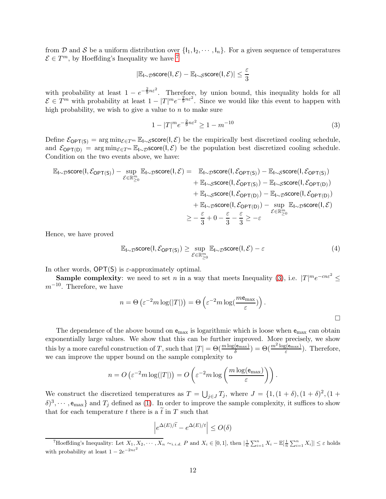from D and S be a uniform distribution over  $\{l_1, l_2, \dots, l_n\}$ . For a given sequence of temperatures  $\mathcal{E} \in T^m$ , by Hoeffding's Inequality we have <sup>[7](#page-11-0)</sup>

$$
|\mathbb{E}_{\mathsf{I} \sim \mathcal{D}} \text{score}(\mathsf{I}, \mathcal{E}) - \mathbb{E}_{\mathsf{I} \sim \mathcal{S}} \text{score}(\mathsf{I}, \mathcal{E})| \leq \frac{\varepsilon}{3}
$$

with probability at least  $1 - e^{-\frac{2}{9}n\varepsilon^2}$ . Therefore, by union bound, this inequality holds for all  $\mathcal{E} \in \hat{T}^m$  with probability at least  $1 - |T|^m e^{-\frac{2}{9}n\varepsilon^2}$ . Since we would like this event to happen with high probability, we wish to give a value to  $n$  to make sure

<span id="page-11-1"></span>
$$
1 - |T|^m e^{-\frac{2}{9}n\varepsilon^2} \ge 1 - m^{-10}
$$
\n(3)

Define  $\mathcal{E}_{\text{OPT}(S)} = \arg \min_{\mathcal{E} \in T^m} \mathbb{E}_{I \sim S}$ score $(I, \mathcal{E})$  be the empirically best discretized cooling schedule, and  $\mathcal{E}_{\text{OPT}(D)} = \arg \min_{\mathcal{E} \in T^m} \mathbb{E}_{\mathsf{I} \sim \mathcal{D}} \text{score}(\mathsf{I}, \mathcal{E})$  be the population best discretized cooling schedule. Condition on the two events above, we have:

$$
\mathbb{E}_{I \sim \mathcal{D}} \text{score}(I, \mathcal{E}_{\text{OPT}(S)}) - \sup_{\mathcal{E} \in \mathbb{R}_{\geq 0}^m} \mathbb{E}_{I \sim \mathcal{D}} \text{score}(I, \mathcal{E}) = \mathbb{E}_{I \sim \mathcal{D}} \text{score}(I, \mathcal{E}_{\text{OPT}(S)}) - \mathbb{E}_{I \sim \mathcal{S}} \text{score}(I, \mathcal{E}_{\text{OPT}(D)}) \n+ \mathbb{E}_{I \sim \mathcal{S}} \text{score}(I, \mathcal{E}_{\text{OPT}(D)}) - \mathbb{E}_{I \sim \mathcal{D}} \text{score}(I, \mathcal{E}_{\text{OPT}(D)}) \n+ \mathbb{E}_{I \sim \mathcal{D}} \text{score}(I, \mathcal{E}_{\text{OPT}(D)}) - \mathbb{E}_{I \sim \mathcal{D}} \text{score}(I, \mathcal{E}_{\text{OPT}(D)}) \n+ \mathbb{E}_{I \sim \mathcal{D}} \text{score}(I, \mathcal{E}_{\text{OPT}(D)}) - \sup_{\mathcal{E} \in \mathbb{R}_{\geq 0}^m} \mathbb{E}_{I \sim \mathcal{D}} \text{score}(I, \mathcal{E}) \n\geq -\frac{\varepsilon}{3} + 0 - \frac{\varepsilon}{3} - \frac{\varepsilon}{3} \geq -\varepsilon
$$

Hence, we have proved

$$
\mathbb{E}_{\mathsf{I}\sim\mathcal{D}} \text{score}(\mathsf{I}, \mathcal{E}_{\mathsf{OPT}(\mathsf{S})}) \ge \sup_{\mathcal{E}\in\mathbb{R}_{\ge0}^m} \mathbb{E}_{\mathsf{I}\sim\mathcal{D}} \text{score}(\mathsf{I}, \mathcal{E}) - \varepsilon
$$
\n(4)

In other words,  $\mathsf{OPT}(\mathsf{S})$  is  $\varepsilon$ -approximately optimal.

**Sample complexity**: we need to set *n* in a way that meets Inequality [\(3\)](#page-11-1), i.e.  $|T|^{m}e^{-cn\varepsilon^{2}} \le$  $m^{-10}$ . Therefore, we have

$$
n = \Theta\left(\varepsilon^{-2} m \log(|T|)\right) = \Theta\left(\varepsilon^{-2} m \log\left(\frac{m \mathbf{e}_{\max}}{\varepsilon}\right)\right).
$$

The dependence of the above bound on  $e_{\text{max}}$  is logarithmic which is loose when  $e_{\text{max}}$  can obtain exponentially large values. We show that this can be further improved. More precisely, we show this by a more careful construction of T, such that  $|T| = \Theta(\frac{m \log(e_{\max})}{\delta}) = \Theta(\frac{m^2 \log(e_{\max})}{\varepsilon})$  $\frac{g(\mathbf{e}_{\max})}{\varepsilon}$ ). Therefore, we can improve the upper bound on the sample complexity to

$$
n = O\left(\varepsilon^{-2} m \log(|T|)\right) = O\left(\varepsilon^{-2} m \log\left(\frac{m \log(\mathbf{e}_{\max})}{\varepsilon}\right)\right).
$$

We construct the discretized temperatures as  $T = \bigcup_{j \in J} T_j$ , where  $J = \{1, (1 + \delta), (1 + \delta)^2, (1 + \delta)^2, (1 + \delta)^2, (1 + \delta)^2, (1 + \delta)^2, (1 + \delta)^2, (1 + \delta)^2, (1 + \delta)^2, (1 + \delta)^2, (1 + \delta)^2, (1 + \delta)^2, (1 + \delta)^2, (1 + \delta)^2, (1 + \delta)^2, (1 + \delta)^2, (1 + \delta)^2, (1 + \delta)^2, (1 + \$  $(\delta)^3, \dots, e_{\text{max}}\}\$ and  $T_j$  defined as [\(1\)](#page-10-0). In order to improve the sample complexity, it suffices to show that for each temperature t there is a  $\tilde{t}$  in T such that

$$
\left|e^{\Delta(E)/\tilde{t}}-e^{\Delta(E)/t}\right|\leq O(\delta)
$$

<span id="page-11-0"></span><sup>&</sup>lt;sup>7</sup>Hoeffding's Inequality: Let  $X_1, X_2, \cdots, X_n \sim_{i.i.d.} P$  and  $X_i \in [0,1]$ , then  $|\frac{1}{n}\sum_{i=1}^n X_i - \mathbb{E}[\frac{1}{n}\sum_{i=1}^n X_i]| \leq \varepsilon$  holds with probability at least  $1 - 2e^{-2n\varepsilon^2}$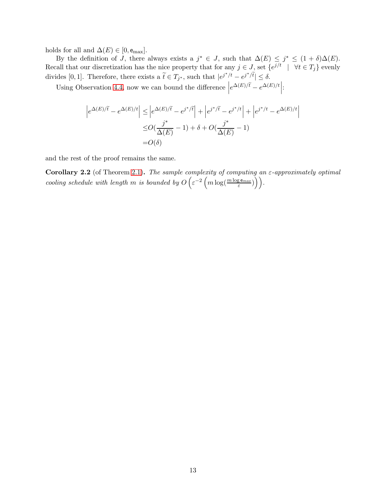holds for all and  $\Delta(E) \in [0, \mathsf{e}_{\text{max}}]$ .

By the definition of J, there always exists a  $j^* \in J$ , such that  $\Delta(E) \leq j^* \leq (1 + \delta)\Delta(E)$ . Recall that our discretization has the nice property that for any  $j \in J$ , set  $\{e^{j/t} \mid \forall t \in T_j\}$  evenly divides [0, 1]. Therefore, there exists a  $\tilde{t} \in T_{j^*}$ , such that  $|e^{j^*/t} - e^{j^*/\tilde{t}}| \le \delta$ .

Using Observation [4.4,](#page-17-2) now we can bound the difference  $\left|e^{\Delta(E)/\tilde{t}}-e^{\Delta(E)/t}\right|$ :

$$
\left| e^{\Delta(E)/\tilde{t}} - e^{\Delta(E)/t} \right| \le \left| e^{\Delta(E)/\tilde{t}} - e^{j^*/\tilde{t}} \right| + \left| e^{j^*/\tilde{t}} - e^{j^*/t} \right| + \left| e^{j^*/t} - e^{\Delta(E)/t} \right|
$$

$$
\le O\left(\frac{j^*}{\Delta(E)} - 1\right) + \delta + O\left(\frac{j^*}{\Delta(E)} - 1\right)
$$

$$
= O(\delta)
$$

and the rest of the proof remains the same.

<span id="page-12-0"></span>Corollary 2.2 (of Theorem [2.1\)](#page-9-1). The sample complexity of computing an  $\varepsilon$ -approximately optimal cooling schedule with length m is bounded by  $O\left(\varepsilon^{-2}\left(m\log(\frac{m\log e_{max}}{\varepsilon})\right)\right)$ .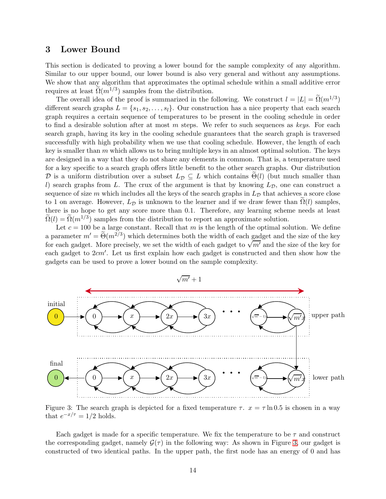### <span id="page-13-1"></span>3 Lower Bound

This section is dedicated to proving a lower bound for the sample complexity of any algorithm. Similar to our upper bound, our lower bound is also very general and without any assumptions. We show that any algorithm that approximates the optimal schedule within a small additive error requires at least  $\Omega(m^{1/3})$  samples from the distribution.

The overall idea of the proof is summarized in the following. We construct  $l = |L| = \Omega(m^{1/3})$ different search graphs  $L = \{s_1, s_2, \ldots, s_l\}$ . Our construction has a nice property that each search graph requires a certain sequence of temperatures to be present in the cooling schedule in order to find a desirable solution after at most  $m$  steps. We refer to such sequences as keys. For each search graph, having its key in the cooling schedule guarantees that the search graph is traversed successfully with high probability when we use that cooling schedule. However, the length of each key is smaller than  $m$  which allows us to bring multiple keys in an almost optimal solution. The keys are designed in a way that they do not share any elements in common. That is, a temperature used for a key specific to a search graph offers little benefit to the other search graphs. Our distribution D is a uniform distribution over a subset  $L_{\mathcal{D}} \subseteq L$  which contains  $\Theta(l)$  (but much smaller than l) search graphs from L. The crux of the argument is that by knowing  $L_{\mathcal{D}}$ , one can construct a sequence of size m which includes all the keys of the search graphs in  $L_{\mathcal{D}}$  that achieves a score close to 1 on average. However,  $L_{\mathcal{D}}$  is unknown to the learner and if we draw fewer than  $\Omega(l)$  samples, there is no hope to get any score more than 0.1. Therefore, any learning scheme needs at least  $\tilde{\Omega}(l) = \tilde{\Omega}(m^{1/3})$  samples from the distribution to report an approximate solution.

Let  $c = 100$  be a large constant. Recall that m is the length of the optimal solution. We define a parameter  $m' = \Theta(m^{2/3})$  which determines both the width of each gadget and the size of the key for each gadget. More precisely, we set the width of each gadget to  $\sqrt{m'}$  and the size of the key for each gadget to  $2cm'$ . Let us first explain how each gadget is constructed and then show how the gadgets can be used to prove a lower bound on the sample complexity.

<span id="page-13-0"></span>

 $\sqrt{m'}+1$ 

Figure 3: The search graph is depicted for a fixed temperature  $\tau$ .  $x = \tau \ln 0.5$  is chosen in a way that  $e^{-x/\tau} = 1/2$  holds.

Each gadget is made for a specific temperature. We fix the temperature to be  $\tau$  and construct the corresponding gadget, namely  $\mathcal{G}(\tau)$  in the following way: As shown in Figure [3,](#page-13-0) our gadget is constructed of two identical paths. In the upper path, the first node has an energy of 0 and has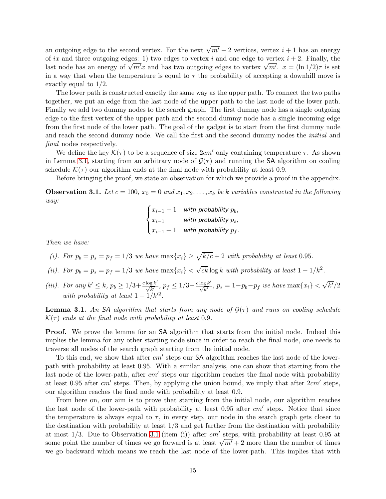an outgoing edge to the second vertex. For the next  $\sqrt{m'}-2$  vertices, vertex  $i+1$  has an energy of ix and three outgoing edges: 1) two edges to vertex i and one edge to vertex  $i + 2$ . Finally, the last node has an energy of  $\sqrt{m'}x$  and has two outgoing edges to vertex  $\sqrt{m'}$ .  $x = (\ln 1/2)\tau$  is set in a way that when the temperature is equal to  $\tau$  the probability of accepting a downhill move is exactly equal to 1/2.

The lower path is constructed exactly the same way as the upper path. To connect the two paths together, we put an edge from the last node of the upper path to the last node of the lower path. Finally we add two dummy nodes to the search graph. The first dummy node has a single outgoing edge to the first vertex of the upper path and the second dummy node has a single incoming edge from the first node of the lower path. The goal of the gadget is to start from the first dummy node and reach the second dummy node. We call the first and the second dummy nodes the *initial* and final nodes respectively.

We define the key  $\mathcal{K}(\tau)$  to be a sequence of size  $2cm'$  only containing temperature  $\tau$ . As shown in Lemma [3.1,](#page-14-0) starting from an arbitrary node of  $\mathcal{G}(\tau)$  and running the SA algorithm on cooling schedule  $\mathcal{K}(\tau)$  our algorithm ends at the final node with probability at least 0.9.

Before bringing the proof, we state an observation for which we provide a proof in the appendix.

<span id="page-14-1"></span>**Observation 3.1.** Let  $c = 100$ ,  $x_0 = 0$  and  $x_1, x_2, \ldots, x_k$  be k variables constructed in the following way:

$$
\begin{cases} x_{i-1}-1 & \text{with probability } p_b, \\ x_{i-1} & \text{with probability } p_s, \\ x_{i-1}+1 & \text{with probability } p_f. \end{cases}
$$

Then we have:

- (i). For  $p_b = p_s = p_f = 1/3$  we have  $\max\{x_i\} \ge \sqrt{k/c} + 2$  with probability at least 0.95.
- (ii). For  $p_b = p_s = p_f = 1/3$  we have  $\max\{x_i\} < \sqrt{ck} \log k$  with probability at least  $1 1/k^2$ .
- (iii). For any  $k' \le k$ ,  $p_b \ge 1/3 + \frac{c \log k'}{\sqrt{k'}}$ ,  $p_f \le 1/3 \frac{c \log k'}{\sqrt{k'}}$ ,  $p_s = 1 p_b p_f$  we have  $\max\{x_i\} < \sqrt{k'}/2$ with probability at least  $1 - 1/k'^2$ .

<span id="page-14-0"></span>**Lemma 3.1.** An SA algorithm that starts from any node of  $\mathcal{G}(\tau)$  and runs on cooling schedule  $\mathcal{K}(\tau)$  ends at the final node with probability at least 0.9.

**Proof.** We prove the lemma for an **SA** algorithm that starts from the initial node. Indeed this implies the lemma for any other starting node since in order to reach the final node, one needs to traverse all nodes of the search graph starting from the initial node.

To this end, we show that after  $cm'$  steps our SA algorithm reaches the last node of the lowerpath with probability at least 0.95. With a similar analysis, one can show that starting from the last node of the lower-path, after  $cm'$  steps our algorithm reaches the final node with probability at least 0.95 after  $cm'$  steps. Then, by applying the union bound, we imply that after  $2cm'$  steps, our algorithm reaches the final node with probability at least 0.9.

From here on, our aim is to prove that starting from the initial node, our algorithm reaches the last node of the lower-path with probability at least  $0.95$  after  $cm'$  steps. Notice that since the temperature is always equal to  $\tau$ , in every step, our node in the search graph gets closer to the destination with probability at least 1/3 and get farther from the destination with probability at most  $1/3$ . Due to Observation [3.1](#page-14-1) (item (i)) after  $cm'$  steps, with probability at least 0.95 at some point the number of times we go forward is at least  $\sqrt{m'}$  + 2 more than the number of times we go backward which means we reach the last node of the lower-path. This implies that with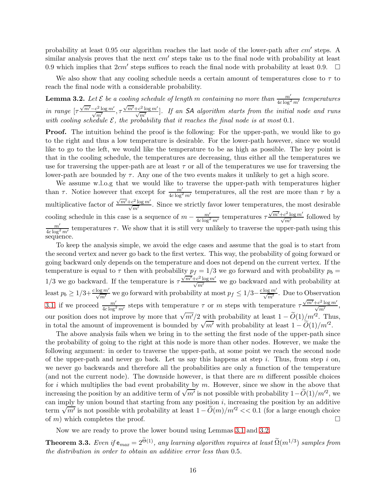probability at least 0.95 our algorithm reaches the last node of the lower-path after  $cm'$  steps. A similar analysis proves that the next  $cm'$  steps take us to the final node with probability at least 0.9 which implies that  $2cm'$  steps suffices to reach the final node with probability at least 0.9.  $\Box$ 

We also show that any cooling schedule needs a certain amount of temperatures close to  $\tau$  to reach the final node with a considerable probability.

<span id="page-15-1"></span>**Lemma 3.2.** Let  $\mathcal E$  be a cooling schedule of length m containing no more than  $\frac{m'}{4c\log^2 m'}$  temperatures in range  $[\tau \frac{\sqrt{m'}-c^2\log m'}{\sqrt{m'}}, \tau \frac{\sqrt{m'}+c^2\log m'}{\sqrt{m'}}]$ . If an SA algorithm starts from the initial node and runs with cooling schedule  $\mathcal{E}$ , the probability that it reaches the final node is at most 0.1.

**Proof.** The intuition behind the proof is the following: For the upper-path, we would like to go to the right and thus a low temperature is desirable. For the lower-path however, since we would like to go to the left, we would like the temperature to be as high as possible. The key point is that in the cooling schedule, the temperatures are decreasing, thus either all the temperatures we use for traversing the upper-path are at least  $\tau$  or all of the temperatures we use for traversing the lower-path are bounded by  $\tau$ . Any one of the two events makes it unlikely to get a high score.

We assume w.l.o.g that we would like to traverse the upper-path with temperatures higher than  $\tau$ . Notice however that except for  $\frac{m'}{4c\log^2 m'}$  temperatures, all the rest are more than  $\tau$  by a multiplicative factor of  $\frac{\sqrt{m'}+c^2\log m'}{\sqrt{m'}}$ . Since we strictly favor lower temperatures, the most desirable cooling schedule in this case is a sequence of  $m - \frac{m'}{4c \log^2 m'}$  temperatures  $\tau \frac{\sqrt{m'} + c^2 \log m'}{\sqrt{m'}}$  followed by  $m'$  $\frac{m'}{4c \log^2 m'}$  temperatures  $\tau$ . We show that it is still very unlikely to traverse the upper-path using this sequence.

To keep the analysis simple, we avoid the edge cases and assume that the goal is to start from the second vertex and never go back to the first vertex. This way, the probability of going forward or going backward only depends on the temperature and does not depend on the current vertex. If the temperature is equal to  $\tau$  then with probability  $p_f = 1/3$  we go forward and with probability  $p_b =$ 1/3 we go backward. If the temperature is  $\tau \frac{\sqrt{m'} + c^2 \log m'}{\sqrt{m'}}$  we go backward and with probability at least  $p_b \ge 1/3 + \frac{c \log m'}{\sqrt{m'}}$  we go forward with probability at most  $p_f \le 1/3 - \frac{c \log m'}{\sqrt{m'}}$ . Due to Observation [3.1,](#page-14-1) if we proceed  $\frac{m'}{4c\log^2 m'}$  steps with temperature  $\tau$  or m steps with temperature  $\tau \frac{\sqrt{m'} + c^2 \log m'}{\sqrt{m'}}$ , our position does not improve by more that  $\sqrt{m'}/2$  with probability at least  $1 - \tilde{O}(1)/m'^2$ . Thus, in total the amount of improvement is bounded by  $\sqrt{m'}$  with probability at least  $1 - \tilde{O}(1)/m'^2$ .

The above analysis fails when we bring in to the setting the first node of the upper-path since the probability of going to the right at this node is more than other nodes. However, we make the following argument: in order to traverse the upper-path, at some point we reach the second node of the upper-path and never go back. Let us say this happens at step i. Thus, from step i on, we never go backwards and therefore all the probabilities are only a function of the temperature (and not the current node). The downside however, is that there are  $m$  different possible choices for i which multiplies the bad event probability by  $m$ . However, since we show in the above that increasing the position by an additive term of  $\sqrt{m'}$  is not possible with probability  $1-\tilde{O}(1)/m'^2$ , we can imply by union bound that starting from any position  $i$ , increasing the position by an additive term  $\sqrt{m'}$  is not possible with probability at least  $1 - \tilde{O}(m)/m'^2 < 0.1$  (for a large enough choice of  $m$ ) which completes the proof.

Now we are ready to prove the lower bound using Lemmas [3.1](#page-14-0) and [3.2.](#page-15-1)

<span id="page-15-0"></span>**Theorem 3.3.** Even if  $e_{max} = 2^{\Theta(1)}$ , any learning algorithm requires at least  $\Omega(m^{1/3})$  samples from the distribution in order to obtain an additive error less than 0.5.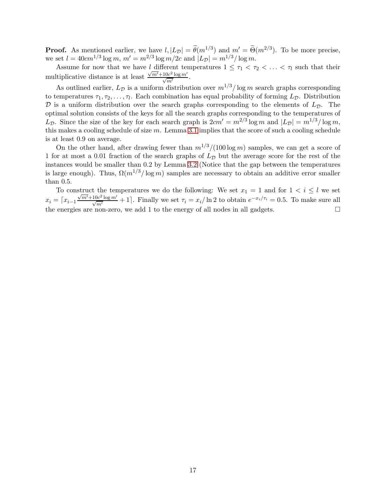**Proof.** As mentioned earlier, we have  $l, |L_{\mathcal{D}}| = \theta(m^{1/3})$  and  $m' = \Theta(m^{2/3})$ . To be more precise, we set  $l = 40cm^{1/3} \log m$ ,  $m' = m^{2/3} \log m/2c$  and  $|L_{\mathcal{D}}| = m^{1/3} / \log m$ .

Assume for now that we have l different temperatures  $1 \leq \tau_1 < \tau_2 < \ldots < \tau_l$  such that their multiplicative distance is at least  $\frac{\sqrt{m'}+10c^2\log m'}{\sqrt{m'}}$ .

As outlined earlier,  $L_{\mathcal{D}}$  is a uniform distribution over  $m^{1/3}/\log m$  search graphs corresponding to temperatures  $\tau_1, \tau_2, \ldots, \tau_l$ . Each combination has equal probability of forming  $L_{\mathcal{D}}$ . Distribution  $\mathcal D$  is a uniform distribution over the search graphs corresponding to the elements of  $L_{\mathcal D}$ . The optimal solution consists of the keys for all the search graphs corresponding to the temperatures of  $L_{\mathcal{D}}$ . Since the size of the key for each search graph is  $2cm' = m^{2/3} \log m$  and  $|L_{\mathcal{D}}| = m^{1/3} / \log m$ , this makes a cooling schedule of size  $m$ . Lemma [3.1](#page-14-0) implies that the score of such a cooling schedule is at least 0.9 on average.

On the other hand, after drawing fewer than  $m^{1/3}/(100 \log m)$  samples, we can get a score of 1 for at most a 0.01 fraction of the search graphs of  $L<sub>D</sub>$  but the average score for the rest of the instances would be smaller than 0.2 by Lemma [3.2](#page-15-1) (Notice that the gap between the temperatures is large enough). Thus,  $\Omega(m^{1/3}/\log m)$  samples are necessary to obtain an additive error smaller than 0.5.

To construct the temperatures we do the following: We set  $x_1 = 1$  and for  $1 \lt i \leq l$  we set  $x_i = \lceil x_{i-1} \frac{\sqrt{m'} + 10c^2 \log m'}{\sqrt{m'}} + 1 \rceil$ . Finally we set  $\tau_i = x_i / \ln 2$  to obtain  $e^{-x_i / \tau_i} = 0.5$ . To make sure all the energies are non-zero, we add 1 to the energy of all nodes in all gadgets.  $\square$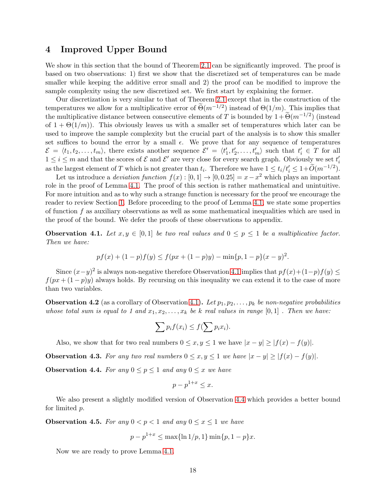### <span id="page-17-0"></span>4 Improved Upper Bound

We show in this section that the bound of Theorem [2.1](#page-9-1) can be significantly improved. The proof is based on two observations: 1) first we show that the discretized set of temperatures can be made smaller while keeping the additive error small and 2) the proof can be modified to improve the sample complexity using the new discretized set. We first start by explaining the former.

Our discretization is very similar to that of Theorem [2.1](#page-9-1) except that in the construction of the temperatures we allow for a multiplicative error of  $\tilde{\Theta}(m^{-1/2})$  instead of  $\Theta(1/m)$ . This implies that the multiplicative distance between consecutive elements of T is bounded by  $1+\widetilde{\Theta}(m^{-1/2})$  (instead of  $1 + \Theta(1/m)$ . This obviously leaves us with a smaller set of temperatures which later can be used to improve the sample complexity but the crucial part of the analysis is to show this smaller set suffices to bound the error by a small  $\epsilon$ . We prove that for any sequence of temperatures  $\mathcal{E} = \langle t_1, t_2, \ldots, t_m \rangle$ , there exists another sequence  $\mathcal{E}' = \langle t'_1, t'_2, \ldots, t'_m \rangle$  such that  $t'_i \in T$  for all  $1 \leq i \leq m$  and that the scores of  $\mathcal E$  and  $\mathcal E'$  are very close for every search graph. Obviously we set  $t'_i$ as the largest element of T which is not greater than  $t_i$ . Therefore we have  $1 \le t_i/t'_i \le 1+\widetilde{O}(m^{-1/2})$ .

Let us introduce a *deviation function*  $f(x) : [0,1] \to [0,0.25] = x - x^2$  which plays an important role in the proof of Lemma [4.1.](#page-18-0) The proof of this section is rather mathematical and unintuitive. For more intuition and as to why such a strange function is necessary for the proof we encourage the reader to review Section [1.](#page-1-0) Before proceeding to the proof of Lemma [4.1,](#page-18-0) we state some properties of function  $f$  as auxiliary observations as well as some mathematical inequalities which are used in the proof of the bound. We defer the proofs of these observations to appendix.

<span id="page-17-3"></span>**Observation 4.1.** Let  $x, y \in [0, 1]$  be two real values and  $0 \leq p \leq 1$  be a multiplicative factor. Then we have:

$$
pf(x) + (1 - p)f(y) \le f(px + (1 - p)y) - \min\{p, 1 - p\}(x - y)^2.
$$

Since  $(x-y)^2$  is always non-negative therefore Observation [4.1](#page-17-3) implies that  $pf(x)+(1-p)f(y) \le$  $f(px + (1 - p)y)$  always holds. By recursing on this inequality we can extend it to the case of more than two variables.

<span id="page-17-5"></span>**Observation 4.2** (as a corollary of Observation [4.1\)](#page-17-3). Let  $p_1, p_2, \ldots, p_k$  be non-negative probabilities whose total sum is equal to 1 and  $x_1, x_2, \ldots, x_k$  be k real values in range  $[0, 1]$ . Then we have:

$$
\sum p_i f(x_i) \le f(\sum p_i x_i).
$$

Also, we show that for two real numbers  $0 \le x, y \le 1$  we have  $|x - y| \ge |f(x) - f(y)|$ .

<span id="page-17-4"></span>**Observation 4.3.** For any two real numbers  $0 \le x, y \le 1$  we have  $|x - y| \ge |f(x) - f(y)|$ .

<span id="page-17-2"></span>**Observation 4.4.** For any  $0 \le p \le 1$  and any  $0 \le x$  we have

$$
p - p^{1+x} \le x.
$$

We also present a slightly modified version of Observation [4.4](#page-17-2) which provides a better bound for limited p.

<span id="page-17-1"></span>**Observation 4.5.** For any  $0 < p < 1$  and any  $0 \le x \le 1$  we have

$$
p - p^{1+x} \le \max\{\ln 1/p, 1\} \min\{p, 1-p\}x.
$$

Now we are ready to prove Lemma [4.1.](#page-18-0)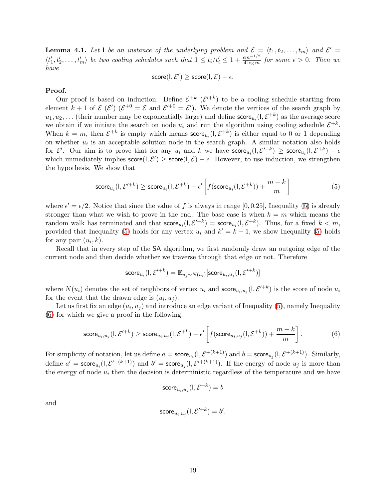<span id="page-18-0"></span>**Lemma 4.1.** Let I be an instance of the underlying problem and  $\mathcal{E} = \langle t_1, t_2, \ldots, t_m \rangle$  and  $\mathcal{E}' =$  $\langle t'_1,t'_2,\ldots,t'_m\rangle$  be two cooling schedules such that  $1 \leq t_i/t'_i \leq 1+\frac{\epsilon m^{-1/2}}{4\log m}$  for some  $\epsilon > 0$ . Then we have

$$
score(I, \mathcal{E}') \geq score(I, \mathcal{E}) - \epsilon.
$$

#### Proof.

Our proof is based on induction. Define  $\mathcal{E}^{+k}$  ( $\mathcal{E}'^{+k}$ ) to be a cooling schedule starting from element  $k+1$  of  $\mathcal{E}(\mathcal{E}')(\mathcal{E}^{+0}=\mathcal{E}$  and  $\mathcal{E}'^{+0}=\mathcal{E}')$ . We denote the vertices of the search graph by  $u_1, u_2, \ldots$  (their number may be exponentially large) and define  $score_{u_i}(l, \mathcal{E}^{+k})$  as the average score we obtain if we initiate the search on node  $u_i$  and run the algorithm using cooling schedule  $\mathcal{E}^{+k}$ . When  $k = m$ , then  $\mathcal{E}^{+k}$  is empty which means  $\mathsf{score}_{u_i}(\mathsf{I}, \mathcal{E}^{+k})$  is either equal to 0 or 1 depending on whether  $u_i$  is an acceptable solution node in the search graph. A similar notation also holds for  $\mathcal{E}'$ . Our aim is to prove that for any  $u_i$  and k we have  $score_{u_i}(1, \mathcal{E}^{t+k}) \geq score_{u_i}(1, \mathcal{E}^{+k}) - \epsilon$ which immediately implies  $score(I, \mathcal{E}') \geq score(I, \mathcal{E}) - \epsilon$ . However, to use induction, we strengthen the hypothesis. We show that

<span id="page-18-1"></span>
$$
\text{score}_{u_i}(\mathsf{l}, \mathcal{E}'^{+k}) \ge \text{score}_{u_i}(\mathsf{l}, \mathcal{E}^{+k}) - \epsilon' \left[ f(\text{score}_{u_i}(\mathsf{l}, \mathcal{E}^{+k})) + \frac{m-k}{m} \right] \tag{5}
$$

where  $\epsilon' = \epsilon/2$ . Notice that since the value of f is always in range [0,0.25], Inequality [\(5\)](#page-18-1) is already stronger than what we wish to prove in the end. The base case is when  $k = m$  which means the random walk has terminated and that  $score_{u_i}(l, \mathcal{E}^{t+k}) = score_{u_i}(l, \mathcal{E}^{+k})$ . Thus, for a fixed  $k < m$ , provided that Inequality [\(5\)](#page-18-1) holds for any vertex  $u_i$  and  $k' = k + 1$ , we show Inequality (5) holds for any pair  $(u_i, k)$ .

Recall that in every step of the SA algorithm, we first randomly draw an outgoing edge of the current node and then decide whether we traverse through that edge or not. Therefore

$$
\mathsf{score}_{u_i}(\mathsf{I},\mathcal{E}'^{+k}) = \mathbb{E}_{u_j \sim N(u_i)}[\mathsf{score}_{u_i,u_j}(\mathsf{I},\mathcal{E}'^{+k})]
$$

where  $N(u_i)$  denotes the set of neighbors of vertex  $u_i$  and score $u_i, u_j$  ( $\mathcal{E}^{t+k}$ ) is the score of node  $u_i$ for the event that the drawn edge is  $(u_i, u_j)$ .

Let us first fix an edge  $(u_i, u_j)$  and introduce an edge variant of Inequality [\(5\)](#page-18-1), namely Inequality [\(6\)](#page-18-2) for which we give a proof in the following.

<span id="page-18-2"></span>
$$
\text{score}_{u_i, u_j}(\mathbf{l}, \mathcal{E}'^{+k}) \ge \text{score}_{u_i, u_j}(\mathbf{l}, \mathcal{E}^{+k}) - \epsilon' \left[ f(\text{score}_{u_i, u_j}(\mathbf{l}, \mathcal{E}^{+k})) + \frac{m-k}{m} \right]. \tag{6}
$$

For simplicity of notation, let us define  $a = \mathsf{score}_{u_i}(\mathsf{l}, \mathcal{E}^{+(k+1)})$  and  $b = \mathsf{score}_{u_j}(\mathsf{l}, \mathcal{E}^{+(k+1)})$ . Similarly, define  $a' = \mathsf{score}_{u_i}(1, \mathcal{E}'^{+(k+1)})$  and  $b' = \mathsf{score}_{u_j}(1, \mathcal{E}'^{+(k+1)})$ . If the energy of node  $u_j$  is more than the energy of node  $u_i$  then the decision is deterministic regardless of the temperature and we have

$$
\mathsf{score}_{u_i, u_j}(\mathsf{I}, \mathcal{E}^{+k}) = b
$$

and

$$
\mathsf{score}_{u_i, u_j}(\mathsf{I}, \mathcal{E}'^{+k}) = b'.
$$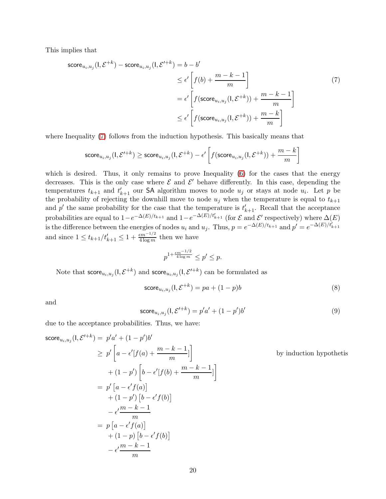This implies that

$$
\begin{aligned}\n\text{score}_{u_i, u_j}(l, \mathcal{E}^{+k}) - \text{score}_{u_i, u_j}(l, \mathcal{E}'^{+k}) &= b - b' \\
&\le \epsilon' \left[ f(b) + \frac{m - k - 1}{m} \right] \\
&= \epsilon' \left[ f(\text{score}_{u_i, u_j}(l, \mathcal{E}^{+k})) + \frac{m - k - 1}{m} \right] \\
&\le \epsilon' \left[ f(\text{score}_{u_i, u_j}(l, \mathcal{E}^{+k})) + \frac{m - k}{m} \right]\n\end{aligned} \tag{7}
$$

where Inequality [\(7\)](#page-19-0) follows from the induction hypothesis. This basically means that

$$
\texttt{score}_{u_i,u_j}(\mathbf{l},\mathcal{E}'^{+k}) \geq \texttt{score}_{u_i,u_j}(\mathbf{l},\mathcal{E}^{+k}) - \epsilon' \left[ f(\texttt{score}_{u_i,u_j}(\mathbf{l},\mathcal{E}^{+k})) + \frac{m-k}{m} \right]
$$

which is desired. Thus, it only remains to prove Inequality [\(6\)](#page-18-2) for the cases that the energy decreases. This is the only case where  $\mathcal E$  and  $\mathcal E'$  behave differently. In this case, depending the temperatures  $t_{k+1}$  and  $t'_{k+1}$  our SA algorithm moves to node  $u_j$  or stays at node  $u_i$ . Let p be the probability of rejecting the downhill move to node  $u_j$  when the temperature is equal to  $t_{k+1}$ and  $p'$  the same probability for the case that the temperature is  $t'_{k+1}$ . Recall that the acceptance probabilities are equal to  $1-e^{-\Delta(E)/t_{k+1}}$  and  $1-e^{-\Delta(E)/t'_{k+1}}$  (for  $\mathcal E$  and  $\mathcal E'$  respectively) where  $\Delta(E)$ is the difference between the energies of nodes  $u_i$  and  $u_j$ . Thus,  $p = e^{-\Delta(E)/t_{k+1}}$  and  $p' = e^{-\Delta(E)/t_{k+1}^2}$ and since  $1 \leq t_{k+1}/t'_{k+1} \leq 1 + \frac{\epsilon m^{-1/2}}{4 \log m}$  then we have

<span id="page-19-0"></span>
$$
p^{1+\frac{\epsilon m^{-1/2}}{4\log m}}\leq p'\leq p.
$$

Note that  $\mathsf{score}_{u_i,u_j}(\mathsf{I},\mathcal{E}^{+k})$  and  $\mathsf{score}_{u_i,u_j}(\mathsf{I},\mathcal{E}'^{+k})$  can be formulated as

<span id="page-19-1"></span>
$$
\mathsf{score}_{u_i, u_j}(\mathsf{I}, \mathcal{E}^{+k}) = pa + (1 - p)b \tag{8}
$$

and

$$
score_{u_i, u_j}(1, \mathcal{E}'^{+k}) = p'a' + (1 - p')b'
$$
\n(9)

due to the acceptance probabilities. Thus, we have:

 $\mathbf{L}$ 

$$
\begin{aligned}\n\text{score}_{u_i, u_j}(l, \mathcal{E}'^{+k}) &= p'a' + (1 - p')b' \\
&\ge p' \left[ a - \epsilon'[f(a) + \frac{m - k - 1}{m}] \right] \\
&\quad + (1 - p') \left[ b - \epsilon'[f(b) + \frac{m - k - 1}{m}] \right] \\
&= p' \left[ a - \epsilon' f(a) \right] \\
&\quad + (1 - p') \left[ b - \epsilon' f(b) \right] \\
&\quad - \epsilon' \frac{m - k - 1}{m} \\
&= p \left[ a - \epsilon' f(a) \right] \\
&\quad + (1 - p) \left[ b - \epsilon' f(b) \right] \\
&\quad - \epsilon' \frac{m - k - 1}{m}\n\end{aligned}
$$
\nby induction hypothesis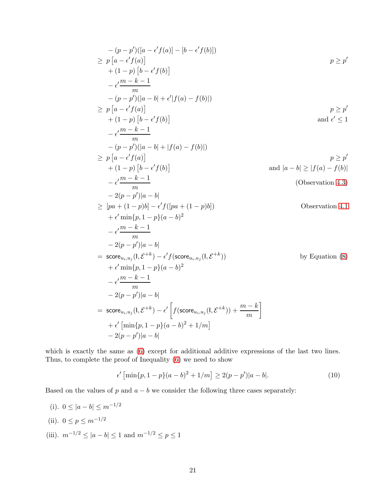$$
-(p-p')([a - e' f(a)] - [b - e' f(b)])
$$
\n
$$
\geq p[a - e' f(a)] + (1-p)[b - e' f(b)]
$$
\n
$$
- e'\frac{m-k-1}{m}
$$
\n
$$
-(p-p')(|a - b| + e'|f(a) - f(b)|)
$$
\n
$$
\geq p[a - e' f(a)] + (1-p)[b - e' f(b)]
$$
\n
$$
p \geq p'
$$
\nand  $e' \leq 1$ \n
$$
- e'\frac{m-k-1}{m}
$$
\n
$$
-(p-p')(|a - b| + |f(a) - f(b)|)
$$
\n
$$
\geq p[a - e' f(a)] + (1-p)[b - e' f(b)]
$$
\n
$$
p \geq p'
$$
\nand  $|a - b| \geq |f(a) - f(b)|$ \n
$$
- e'\frac{m-k-1}{m}
$$
\n
$$
- 2(p-p')|a - b|
$$
\n
$$
\geq [pa + (1-p)b] - e' f([pa + (1-p)b])
$$
\n
$$
+ e' \min\{p, 1 - p\}(a - b)^2
$$
\n
$$
- e'\frac{m-k-1}{m}
$$
\n
$$
- 2(p-p')|a - b|
$$
\n
$$
= \operatorname{score}_{u_i, u_j}(1, \mathcal{E}^{+k}) - e' f(\operatorname{score}_{u_i, u_j}(1, \mathcal{E}^{+k}))
$$
\nby Equation (8)\n
$$
+ e' \min\{p, 1 - p\}(a - b)^2
$$
\n
$$
- e'\frac{m-k-1}{m}
$$
\n
$$
- 2(p-p')|a - b|
$$
\n
$$
= \operatorname{score}_{u_i, u_j}(1, \mathcal{E}^{+k}) - e' [f(\operatorname{score}_{u_i, u_j}(1, \mathcal{E}^{+k})) + \frac{m-k}{m}]
$$
\n
$$
+ e' [\min\{p, 1 - p\}(a - b)^2 + 1/m]
$$
\n
$$
- 2(p-p')|a - b|
$$

which is exactly the same as [\(6\)](#page-18-2) except for additional additive expressions of the last two lines. Thus, to complete the proof of Inequality [\(6\)](#page-18-2) we need to show

<span id="page-20-0"></span>
$$
\epsilon' \left[ \min\{p, 1-p\}(a-b)^2 + 1/m \right] \ge 2(p-p')|a-b|.
$$
 (10)

Based on the values of  $p$  and  $a - b$  we consider the following three cases separately:

(i).  $0 \leq |a - b| \leq m^{-1/2}$ (ii).  $0 \le p \le m^{-1/2}$ (iii).  $m^{-1/2} \le |a - b| \le 1$  and  $m^{-1/2} \le p \le 1$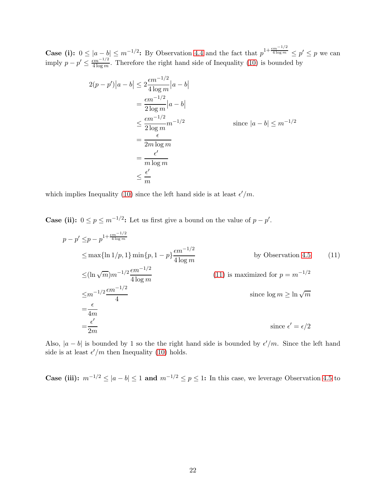**Case (i):**  $0 \leq |a-b| \leq m^{-1/2}$ : By Observation [4.4](#page-17-2) and the fact that  $p^{1+\frac{\epsilon m^{-1/2}}{4 \log m}} \leq p' \leq p$  we can imply  $p - p' \leq \frac{\epsilon m^{-1/2}}{4 \log m}$ . Therefore the right hand side of Inequality [\(10\)](#page-20-0) is bounded by

$$
2(p - p')|a - b| \le 2\frac{\epsilon m^{-1/2}}{4 \log m}|a - b|
$$
  
=  $\frac{\epsilon m^{-1/2}}{2 \log m}|a - b|$   
 $\le \frac{\epsilon m^{-1/2}}{2 \log m}m^{-1/2}$  since  $|a - b| \le m^{-1/2}$   
=  $\frac{\epsilon}{2m \log m}$   
=  $\frac{\epsilon'}{m \log m}$   
 $\le \frac{\epsilon'}{m}$ 

which implies Inequality [\(10\)](#page-20-0) since the left hand side is at least  $\epsilon'/m$ .

**Case (ii):**  $0 \le p \le m^{-1/2}$ : Let us first give a bound on the value of  $p - p'$ .

<span id="page-21-0"></span>
$$
p - p' \leq p - p^{1 + \frac{\epsilon m^{-1/2}}{4 \log m}}
$$
  
\n
$$
\leq \max\{\ln 1/p, 1\} \min\{p, 1 - p\} \frac{\epsilon m^{-1/2}}{4 \log m}
$$
 by Observation 4.5 (11)  
\n
$$
\leq (\ln \sqrt{m}) m^{-1/2} \frac{\epsilon m^{-1/2}}{4 \log m}
$$
 (11) is maximized for  $p = m^{-1/2}$   
\n
$$
\leq m^{-1/2} \frac{\epsilon m^{-1/2}}{4}
$$
  
\nsince  $\log m \geq \ln \sqrt{m}$   
\n
$$
= \frac{\epsilon}{4m}
$$
  
\n
$$
= \frac{\epsilon'}{2m}
$$

Also,  $|a - b|$  is bounded by 1 so the the right hand side is bounded by  $\epsilon'/m$ . Since the left hand side is at least  $\epsilon'/m$  then Inequality [\(10\)](#page-20-0) holds.

Case (iii):  $m^{-1/2}$  ≤  $|a - b|$  ≤ 1 and  $m^{-1/2}$  ≤  $p$  ≤ 1: In this case, we leverage Observation [4.5](#page-17-1) to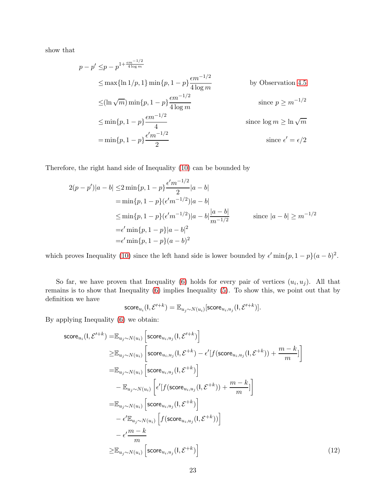show that

$$
p - p' \leq p - p^{1 + \frac{\epsilon m^{-1/2}}{4 \log m}}
$$
  
\n
$$
\leq \max\{\ln 1/p, 1\} \min\{p, 1 - p\} \frac{\epsilon m^{-1/2}}{4 \log m}
$$
 by Observation 4.5  
\n
$$
\leq (\ln \sqrt{m}) \min\{p, 1 - p\} \frac{\epsilon m^{-1/2}}{4 \log m}
$$
 since  $p \geq m^{-1/2}$   
\n
$$
\leq \min\{p, 1 - p\} \frac{\epsilon m^{-1/2}}{4}
$$
 since  $\log m \geq \ln \sqrt{m}$   
\n
$$
= \min\{p, 1 - p\} \frac{\epsilon' m^{-1/2}}{2}
$$
 since  $\epsilon' = \epsilon/2$ 

Therefore, the right hand side of Inequality [\(10\)](#page-20-0) can be bounded by

$$
2(p - p')|a - b| \le 2 \min\{p, 1 - p\} \frac{\epsilon' m^{-1/2}}{2} |a - b|
$$
  
=  $\min\{p, 1 - p\} (\epsilon' m^{-1/2}) |a - b|$   

$$
\le \min\{p, 1 - p\} (\epsilon' m^{-1/2}) |a - b| \frac{|a - b|}{m^{-1/2}} \qquad \text{since } |a - b| \ge m^{-1/2}
$$
  
=  $\epsilon' \min\{p, 1 - p\} |a - b|^2$   
=  $\epsilon' \min\{p, 1 - p\} (a - b)^2$ 

which proves Inequality [\(10\)](#page-20-0) since the left hand side is lower bounded by  $\epsilon'$  min $\{p, 1 - p\}(a - b)^2$ .

So far, we have proven that Inequality [\(6\)](#page-18-2) holds for every pair of vertices  $(u_i, u_j)$ . All that remains is to show that Inequality [\(6\)](#page-18-2) implies Inequality [\(5\)](#page-18-1). To show this, we point out that by definition we have

<span id="page-22-0"></span>
$$
\mathsf{score}_{u_i}(\mathsf{I}, \mathcal{E}'^{+k}) = \mathbb{E}_{u_j \sim N(u_i)}[\mathsf{score}_{u_i, u_j}(\mathsf{I}, \mathcal{E}'^{+k})].
$$

By applying Inequality [\(6\)](#page-18-2) we obtain:

$$
\begin{split}\n\text{score}_{u_i}(l, \mathcal{E}'^{+k}) &= \mathbb{E}_{u_j \sim N(u_i)} \left[ \text{score}_{u_i, u_j}(l, \mathcal{E}'^{+k}) \right] \\
&\geq \mathbb{E}_{u_j \sim N(u_i)} \left[ \text{score}_{u_i, u_j}(l, \mathcal{E}^{+k}) - \epsilon'[f(\text{score}_{u_i, u_j}(l, \mathcal{E}^{+k})) + \frac{m - k}{m} \right] \\
&= \mathbb{E}_{u_j \sim N(u_i)} \left[ \text{score}_{u_i, u_j}(l, \mathcal{E}^{+k}) \right] \\
&\quad - \mathbb{E}_{u_j \sim N(u_i)} \left[ \epsilon'[f(\text{score}_{u_i, u_j}(l, \mathcal{E}^{+k})) + \frac{m - k}{m}] \right] \\
&= \mathbb{E}_{u_j \sim N(u_i)} \left[ \text{score}_{u_i, u_j}(l, \mathcal{E}^{+k}) \right] \\
&\quad - \epsilon' \mathbb{E}_{u_j \sim N(u_i)} \left[ f(\text{score}_{u_i, u_j}(l, \mathcal{E}^{+k})) \right] \\
&\geq \mathbb{E}_{u_j \sim N(u_i)} \left[ \text{score}_{u_i, u_j}(l, \mathcal{E}^{+k}) \right]\n\end{split} \tag{12}
$$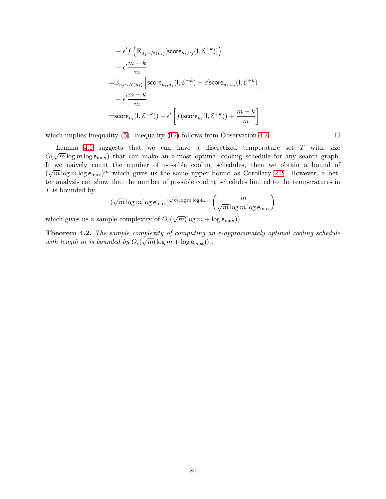$$
\begin{aligned} & -\epsilon' f\left(\mathbb{E}_{u_j \sim N(u_i)}[\mathsf{score}_{u_i, u_j}(l, \mathcal{E}^{+k})]\right) \\ & -\epsilon' \frac{m-k}{m} \\ = & \mathbb{E}_{u_j \sim N(u_i)}\left[\mathsf{score}_{u_i, u_j}(l, \mathcal{E}^{+k}) - \epsilon'\mathsf{score}_{u_i, u_j}(l, \mathcal{E}^{+k})\right] \\ & -\epsilon' \frac{m-k}{m} \\ = & \mathsf{score}_{u_i}(l, \mathcal{E}^{+k})) - \epsilon'\left[f(\mathsf{score}_{u_i}(l, \mathcal{E}^{+k})) + \frac{m-k}{m}\right] \end{aligned}
$$

which implies Inequality [\(5\)](#page-18-1). Inequality [\(12\)](#page-22-0) follows from Observation [4.2.](#page-17-5)

Lemma [4.1](#page-18-0) suggests that we can have a discretized temperature set  $T$  with size  $O(\sqrt{m}\log m\log \epsilon_{\max})$  that can make an almost optimal cooling schedule for any search graph. If we naively count the number of possible cooling schedules, then we obtain a bound of  $(\sqrt{m} \log m \log \epsilon_{\text{max}})^m$  which gives us the same upper bound as Corollary [2.2.](#page-12-0) However, a better analysis can show that the number of possible cooling schedules limited to the temperatures in  $T$  is bounded by

$$
(\sqrt{m}\log m \log \epsilon_{\max})^{\sqrt{m}\log m \log \epsilon_{\max}}\binom{m}{\sqrt{m}\log m \log \epsilon_{\max}}
$$

which gives us a sample complexity of  $O_{\epsilon}(\sqrt{m}(\log m + \log \epsilon_{\max}))$ .

<span id="page-23-0"></span>**Theorem 4.2.** The sample complexity of computing an  $\varepsilon$ -approximately optimal cooling schedule with length m is bounded by  $O_e(\sqrt{m}(\log m + \log \epsilon_{max}))$ .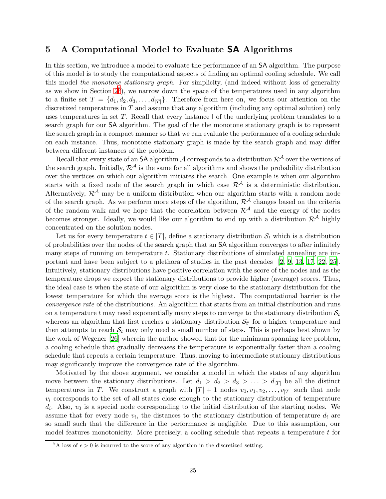### 5 A Computational Model to Evaluate SA Algorithms

In this section, we introduce a model to evaluate the performance of an SA algorithm. The purpose of this model is to study the computational aspects of finding an optimal cooling schedule. We call this model the monotone stationary graph. For simplicity, (and indeed without loss of generality as we show in Section  $2^8$  $2^8$ ), we narrow down the space of the temperatures used in any algorithm to a finite set  $T = \{d_1, d_2, d_3, \ldots, d_{|T|}\}.$  Therefore from here on, we focus our attention on the discretized temperatures in  $T$  and assume that any algorithm (including any optimal solution) only uses temperatures in set T. Recall that every instance I of the underlying problem translates to a search graph for our SA algorithm. The goal of the the monotone stationary graph is to represent the search graph in a compact manner so that we can evaluate the performance of a cooling schedule on each instance. Thus, monotone stationary graph is made by the search graph and may differ between different instances of the problem.

Recall that every state of an SA algorithm A corresponds to a distribution  $\mathcal{R}^{\mathcal{A}}$  over the vertices of the search graph. Initially,  $\mathcal{R}^{\mathcal{A}}$  is the same for all algorithms and shows the probability distribution over the vertices on which our algorithm initiates the search. One example is when our algorithm starts with a fixed node of the search graph in which case  $\mathcal{R}^{\mathcal{A}}$  is a deterministic distribution. Alternatively,  $\mathcal{R}^{\mathcal{A}}$  may be a uniform distribution when our algorithm starts with a random node of the search graph. As we perform more steps of the algorithm,  $\mathcal{R}^{\mathcal{A}}$  changes based on the criteria of the random walk and we hope that the correlation between  $\mathcal{R}^{\mathcal{A}}$  and the energy of the nodes becomes stronger. Ideally, we would like our algorithm to end up with a distribution  $\mathcal{R}^{\mathcal{A}}$  highly concentrated on the solution nodes.

Let us for every temperature  $t \in [T]$ , define a stationary distribution  $S_t$  which is a distribution of probabilities over the nodes of the search graph that an SA algorithm converges to after infinitely many steps of running on temperature  $t$ . Stationary distributions of simulated annealing are important and have been subject to a plethora of studies in the past decades [\[2](#page-34-12), [9](#page-34-13), [13](#page-34-14), [17](#page-34-15), [22](#page-35-5), [25\]](#page-35-6). Intuitively, stationary distributions have positive correlation with the score of the nodes and as the temperature drops we expect the stationary distributions to provide higher (average) scores. Thus, the ideal case is when the state of our algorithm is very close to the stationary distribution for the lowest temperature for which the average score is the highest. The computational barrier is the convergence rate of the distributions. An algorithm that starts from an initial distribution and runs on a temperature t may need exponentially many steps to converge to the stationary distribution  $S_t$ whereas an algorithm that first reaches a stationary distribution  $S_{t'}$  for a higher temperature and then attempts to reach  $S_t$  may only need a small number of steps. This is perhaps best shown by the work of Wegener [\[26\]](#page-35-4) wherein the author showed that for the minimum spanning tree problem, a cooling schedule that gradually decreases the temperature is exponentially faster than a cooling schedule that repeats a certain temperature. Thus, moving to intermediate stationary distributions may significantly improve the convergence rate of the algorithm.

Motivated by the above argument, we consider a model in which the states of any algorithm move between the stationary distributions. Let  $d_1 > d_2 > d_3 > \ldots > d_{|T|}$  be all the distinct temperatures in T. We construct a graph with  $|T| + 1$  nodes  $v_0, v_1, v_2, \ldots, v_{|T|}$  such that node  $v_i$  corresponds to the set of all states close enough to the stationary distribution of temperature  $d_i$ . Also,  $v_0$  is a special node corresponding to the initial distribution of the starting nodes. We assume that for every node  $v_i$ , the distances to the stationary distribution of temperature  $d_i$  are so small such that the difference in the performance is negligible. Due to this assumption, our model features monotonicity. More precisely, a cooling schedule that repeats a temperature  $t$  for

<span id="page-24-0"></span><sup>&</sup>lt;sup>8</sup>A loss of  $\epsilon > 0$  is incurred to the score of any algorithm in the discretized setting.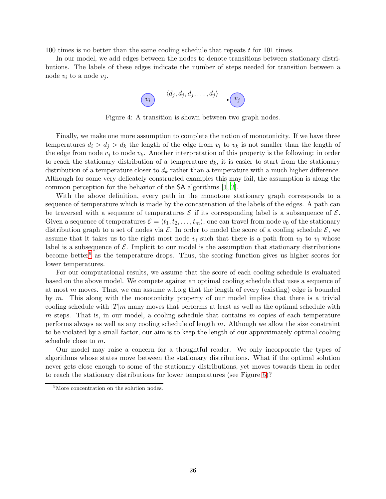100 times is no better than the same cooling schedule that repeats t for 101 times.

In our model, we add edges between the nodes to denote transitions between stationary distributions. The labels of these edges indicate the number of steps needed for transition between a node  $v_i$  to a node  $v_j$ .



Figure 4: A transition is shown between two graph nodes.

Finally, we make one more assumption to complete the notion of monotonicity. If we have three temperatures  $d_i > d_j > d_k$  the length of the edge from  $v_i$  to  $v_k$  is not smaller than the length of the edge from node  $v_i$  to node  $v_k$ . Another interpretation of this property is the following: in order to reach the stationary distribution of a temperature  $d_k$ , it is easier to start from the stationary distribution of a temperature closer to  $d_k$  rather than a temperature with a much higher difference. Although for some very delicately constructed examples this may fail, the assumption is along the common perception for the behavior of the SA algorithms [\[1](#page-34-2), [2](#page-34-12)].

With the above definition, every path in the monotone stationary graph corresponds to a sequence of temperature which is made by the concatenation of the labels of the edges. A path can be traversed with a sequence of temperatures  $\mathcal E$  if its corresponding label is a subsequence of  $\mathcal E$ . Given a sequence of temperatures  $\mathcal{E} = \langle t_1, t_2, \ldots, t_m \rangle$ , one can travel from node  $v_0$  of the stationary distribution graph to a set of nodes via  $\mathcal{E}$ . In order to model the score of a cooling schedule  $\mathcal{E}$ , we assume that it takes us to the right most node  $v_i$  such that there is a path from  $v_0$  to  $v_i$  whose label is a subsequence of  $\mathcal E$ . Implicit to our model is the assumption that stationary distributions become better<sup>[9](#page-25-0)</sup> as the temperature drops. Thus, the scoring function gives us higher scores for lower temperatures.

For our computational results, we assume that the score of each cooling schedule is evaluated based on the above model. We compete against an optimal cooling schedule that uses a sequence of at most  $m$  moves. Thus, we can assume w.l.o.g that the length of every (existing) edge is bounded by  $m$ . This along with the monotonicity property of our model implies that there is a trivial cooling schedule with  $|T|m$  many moves that performs at least as well as the optimal schedule with  $m$  steps. That is, in our model, a cooling schedule that contains  $m$  copies of each temperature performs always as well as any cooling schedule of length m. Although we allow the size constraint to be violated by a small factor, our aim is to keep the length of our approximately optimal cooling schedule close to m.

Our model may raise a concern for a thoughtful reader. We only incorporate the types of algorithms whose states move between the stationary distributions. What if the optimal solution never gets close enough to some of the stationary distributions, yet moves towards them in order to reach the stationary distributions for lower temperatures (see Figure [5\)](#page-26-0)?

<span id="page-25-0"></span><sup>&</sup>lt;sup>9</sup>More concentration on the solution nodes.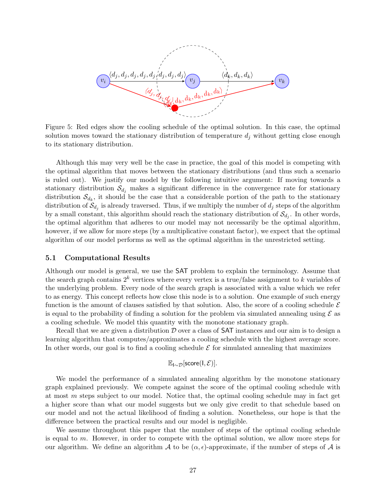<span id="page-26-0"></span>

Figure 5: Red edges show the cooling schedule of the optimal solution. In this case, the optimal solution moves toward the stationary distribution of temperature  $d_i$  without getting close enough to its stationary distribution.

Although this may very well be the case in practice, the goal of this model is competing with the optimal algorithm that moves between the stationary distributions (and thus such a scenario is ruled out). We justify our model by the following intuitive argument: If moving towards a stationary distribution  $\mathcal{S}_{d_i}$  makes a significant difference in the convergence rate for stationary distribution  $\mathcal{S}_{d_k}$ , it should be the case that a considerable portion of the path to the stationary distribution of  $\mathcal{S}_{d_j}$  is already traversed. Thus, if we multiply the number of  $d_j$  steps of the algorithm by a small constant, this algorithm should reach the stationary distribution of  $\mathcal{S}_{d_j}$ . In other words, the optimal algorithm that adheres to our model may not necessarily be the optimal algorithm, however, if we allow for more steps (by a multiplicative constant factor), we expect that the optimal algorithm of our model performs as well as the optimal algorithm in the unrestricted setting.

#### 5.1 Computational Results

Although our model is general, we use the SAT problem to explain the terminology. Assume that the search graph contains  $2^k$  vertices where every vertex is a true/false assignment to k variables of the underlying problem. Every node of the search graph is associated with a value which we refer to as energy. This concept reflects how close this node is to a solution. One example of such energy function is the amount of clauses satisfied by that solution. Also, the score of a cooling schedule  $\mathcal E$ is equal to the probability of finding a solution for the problem via simulated annealing using  $\mathcal E$  as a cooling schedule. We model this quantity with the monotone stationary graph.

Recall that we are given a distribution  $\mathcal D$  over a class of **SAT** instances and our aim is to design a learning algorithm that computes/approximates a cooling schedule with the highest average score. In other words, our goal is to find a cooling schedule  $\mathcal E$  for simulated annealing that maximizes

$$
\mathbb{E}_{I\sim \mathcal{D}}[\mathsf{score}(I, \mathcal{E})].
$$

We model the performance of a simulated annealing algorithm by the monotone stationary graph explained previously. We compete against the score of the optimal cooling schedule with at most  $m$  steps subject to our model. Notice that, the optimal cooling schedule may in fact get a higher score than what our model suggests but we only give credit to that schedule based on our model and not the actual likelihood of finding a solution. Nonetheless, our hope is that the difference between the practical results and our model is negligible.

We assume throughout this paper that the number of steps of the optimal cooling schedule is equal to m. However, in order to compete with the optimal solution, we allow more steps for our algorithm. We define an algorithm A to be  $(\alpha, \epsilon)$ -approximate, if the number of steps of A is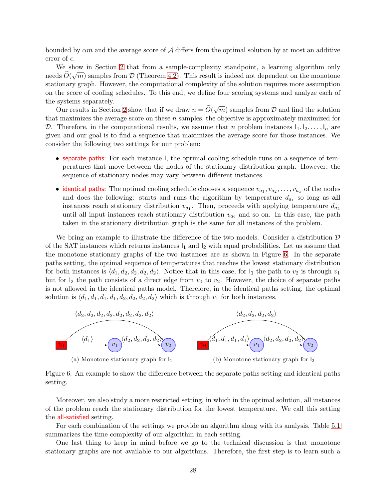bounded by  $\alpha m$  and the average score of A differs from the optimal solution by at most an additive error of  $\epsilon$ .

We show in Section [2](#page-9-0) that from a sample-complexity standpoint, a learning algorithm only needs  $\widetilde{O}(\sqrt{m})$  samples from  $\mathcal D$  (Theorem [4.2\)](#page-23-0). This result is indeed not dependent on the monotone stationary graph. However, the computational complexity of the solution requires more assumption on the score of cooling schedules. To this end, we define four scoring systems and analyze each of the systems separately.

Our results in Section [2](#page-9-0) show that if we draw  $n = \tilde{O}(\sqrt{m})$  samples from  $\mathcal{D}$  and find the solution that maximizes the average score on these  $n$  samples, the objective is approximately maximized for D. Therefore, in the computational results, we assume that n problem instances  $I_1, I_2, \ldots, I_n$  are given and our goal is to find a sequence that maximizes the average score for those instances. We consider the following two settings for our problem:

- separate paths: For each instance I, the optimal cooling schedule runs on a sequence of temperatures that move between the nodes of the stationary distribution graph. However, the sequence of stationary nodes may vary between different instances.
- identical paths: The optimal cooling schedule chooses a sequence  $v_{a_1}, v_{a_2}, \ldots, v_{a_x}$  of the nodes and does the following: starts and runs the algorithm by temperature  $d_{a_1}$  so long as all instances reach stationary distribution  $v_{a_1}$ . Then, proceeds with applying temperature  $d_{a_2}$ until all input instances reach stationary distribution  $v_{a_2}$  and so on. In this case, the path taken in the stationary distribution graph is the same for all instances of the problem.

We bring an example to illustrate the difference of the two models. Consider a distribution  $\mathcal D$ of the SAT instances which returns instances  $I_1$  and  $I_2$  with equal probabilities. Let us assume that the monotone stationary graphs of the two instances are as shown in Figure [6.](#page-27-0) In the separate paths setting, the optimal sequence of temperatures that reaches the lowest stationary distribution for both instances is  $\langle d_1, d_2, d_2, d_2, d_2 \rangle$ . Notice that in this case, for  $I_1$  the path to  $v_2$  is through  $v_1$ but for  $I_2$  the path consists of a direct edge from  $v_0$  to  $v_2$ . However, the choice of separate paths is not allowed in the identical paths model. Therefore, in the identical paths setting, the optimal solution is  $\langle d_1, d_1, d_1, d_2, d_2, d_2, d_2 \rangle$  which is through  $v_1$  for both instances.

<span id="page-27-0"></span>

Figure 6: An example to show the difference between the separate paths setting and identical paths setting.

Moreover, we also study a more restricted setting, in which in the optimal solution, all instances of the problem reach the stationary distribution for the lowest temperature. We call this setting the all-satisfied setting.

For each combination of the settings we provide an algorithm along with its analysis. Table [5.1](#page-28-0) summarizes the time complexity of our algorithm in each setting.

One last thing to keep in mind before we go to the technical discussion is that monotone stationary graphs are not available to our algorithms. Therefore, the first step is to learn such a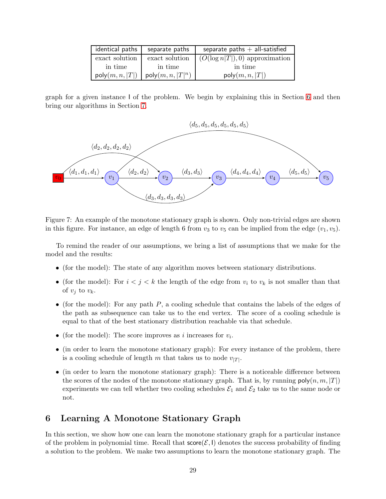<span id="page-28-0"></span>

| identical paths | separate paths               | separate paths $+$ all-satisfied |
|-----------------|------------------------------|----------------------------------|
| exact solution  | exact solution               | $(O(\log n T ),0)$ approximation |
| in time         | in time                      | in time                          |
| poly(m, n,  T ) | $\mathsf{poly}(m, n,  T ^n)$ | poly(m, n,  T )                  |

graph for a given instance I of the problem. We begin by explaining this in Section [6](#page-28-1) and then bring our algorithms in Section [7.](#page-29-0)



Figure 7: An example of the monotone stationary graph is shown. Only non-trivial edges are shown in this figure. For instance, an edge of length 6 from  $v_3$  to  $v_5$  can be implied from the edge  $(v_1, v_5)$ .

To remind the reader of our assumptions, we bring a list of assumptions that we make for the model and the results:

- (for the model): The state of any algorithm moves between stationary distributions.
- (for the model): For  $i < j < k$  the length of the edge from  $v_i$  to  $v_k$  is not smaller than that of  $v_i$  to  $v_k$ .
- (for the model): For any path  $P$ , a cooling schedule that contains the labels of the edges of the path as subsequence can take us to the end vertex. The score of a cooling schedule is equal to that of the best stationary distribution reachable via that schedule.
- (for the model): The score improves as *i* increases for  $v_i$ .
- (in order to learn the monotone stationary graph): For every instance of the problem, there is a cooling schedule of length  $m$  that takes us to node  $v_{|T|}$ .
- (in order to learn the monotone stationary graph): There is a noticeable difference between the scores of the nodes of the monotone stationary graph. That is, by running  $\mathsf{poly}(n, m, |T|)$ experiments we can tell whether two cooling schedules  $\mathcal{E}_1$  and  $\mathcal{E}_2$  take us to the same node or not.

## <span id="page-28-1"></span>6 Learning A Monotone Stationary Graph

In this section, we show how one can learn the monotone stationary graph for a particular instance of the problem in polynomial time. Recall that  $score(\mathcal{E}, I)$  denotes the success probability of finding a solution to the problem. We make two assumptions to learn the monotone stationary graph. The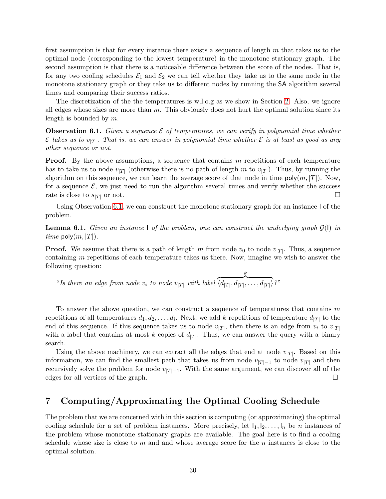first assumption is that for every instance there exists a sequence of length  $m$  that takes us to the optimal node (corresponding to the lowest temperature) in the monotone stationary graph. The second assumption is that there is a noticeable difference between the score of the nodes. That is, for any two cooling schedules  $\mathcal{E}_1$  and  $\mathcal{E}_2$  we can tell whether they take us to the same node in the monotone stationary graph or they take us to different nodes by running the SA algorithm several times and comparing their success ratios.

The discretization of the the temperatures is w.l.o.g as we show in Section [2.](#page-9-0) Also, we ignore all edges whose sizes are more than  $m$ . This obviously does not hurt the optimal solution since its length is bounded by m.

<span id="page-29-1"></span>**Observation 6.1.** Given a sequence  $\mathcal{E}$  of temperatures, we can verify in polynomial time whether  $\mathcal E$  takes us to  $v_{|T|}$ . That is, we can answer in polynomial time whether  $\mathcal E$  is at least as good as any other sequence or not.

**Proof.** By the above assumptions, a sequence that contains  $m$  repetitions of each temperature has to take us to node  $v_{|T|}$  (otherwise there is no path of length m to  $v_{|T|}$ ). Thus, by running the algorithm on this sequence, we can learn the average score of that node in time  $\mathsf{poly}(m, |T|)$ . Now, for a sequence  $\mathcal{E}$ , we just need to run the algorithm several times and verify whether the success rate is close to  $s_{\text{CFT}}$  or not. rate is close to  $s_{|T|}$  or not.

Using Observation [6.1,](#page-29-1) we can construct the monotone stationary graph for an instance I of the problem.

**Lemma 6.1.** Given an instance I of the problem, one can construct the underlying graph  $\mathcal{G}(I)$  in *time* poly $(m, |T|)$ .

**Proof.** We assume that there is a path of length m from node  $v_0$  to node  $v_{|T|}$ . Thus, a sequence containing  $m$  repetitions of each temperature takes us there. Now, imagine we wish to answer the following question:

"Is there an edge from node  $v_i$  to node  $v_{|T|}$  with label k  $\overline{\langle d_{|T|}, d_{|T|}, \ldots, d_{|T|}}$ ?"

To answer the above question, we can construct a sequence of temperatures that contains  $m$ repetitions of all temperatures  $d_1, d_2, \ldots, d_i$ . Next, we add k repetitions of temperature  $d_{|T|}$  to the end of this sequence. If this sequence takes us to node  $v_{|T|}$ , then there is an edge from  $v_i$  to  $v_{|T|}$ with a label that contains at most k copies of  $d_{|T|}$ . Thus, we can answer the query with a binary search.

Using the above machinery, we can extract all the edges that end at node  $v_{|T|}$ . Based on this information, we can find the smallest path that takes us from node  $v_{|T|-1}$  to node  $v_{|T|}$  and then recursively solve the problem for node  $v_{|T|-1}$ . With the same argument, we can discover all of the edges for all vertices of the graph.

## <span id="page-29-0"></span>7 Computing/Approximating the Optimal Cooling Schedule

The problem that we are concerned with in this section is computing (or approximating) the optimal cooling schedule for a set of problem instances. More precisely, let  $I_1, I_2, \ldots, I_n$  be n instances of the problem whose monotone stationary graphs are available. The goal here is to find a cooling schedule whose size is close to  $m$  and and whose average score for the  $n$  instances is close to the optimal solution.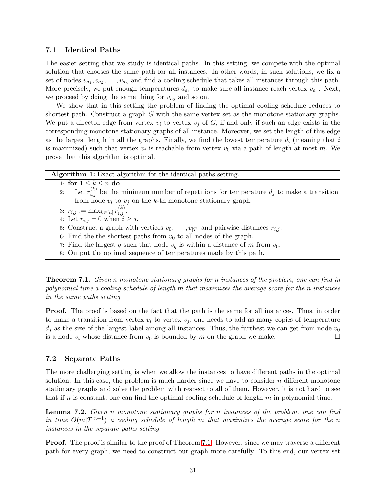#### 7.1 Identical Paths

The easier setting that we study is identical paths. In this setting, we compete with the optimal solution that chooses the same path for all instances. In other words, in such solutions, we fix a set of nodes  $v_{a_1}, v_{a_2}, \ldots, v_{a_k}$  and find a cooling schedule that takes all instances through this path. More precisely, we put enough temperatures  $d_{a_1}$  to make sure all instance reach vertex  $v_{a_1}$ . Next, we proceed by doing the same thing for  $v_{a_2}$  and so on.

We show that in this setting the problem of finding the optimal cooling schedule reduces to shortest path. Construct a graph  $G$  with the same vertex set as the monotone stationary graphs. We put a directed edge from vertex  $v_i$  to vertex  $v_j$  of G, if and only if such an edge exists in the corresponding monotone stationary graphs of all instance. Moreover, we set the length of this edge as the largest length in all the graphs. Finally, we find the lowest temperature  $d_i$  (meaning that i is maximized) such that vertex  $v_i$  is reachable from vertex  $v_0$  via a path of length at most m. We prove that this algorithm is optimal.

Algorithm 1: Exact algorithm for the identical paths setting.

1: for  $1 \leq k \leq n$  do<br>2: Let  $r_{i,j}^{(k)}$  be the

- 2: Let  $r_{i,j}^{(k)}$  be the minimum number of repetitions for temperature  $d_j$  to make a transition from node  $v_i$  to  $v_j$  on the k-th monotone stationary graph.
- 3:  $r_{i,j} := \max_{k \in [n]} r_{i,j}^{(k)}$ .
- 4: Let  $r_{i,j} = 0$  when  $i \geq j$ .
- 5: Construct a graph with vertices  $v_0, \dots, v_{|T|}$  and pairwise distances  $r_{i,j}$ .
- 6: Find the the shortest paths from  $v_0$  to all nodes of the graph.
- 7: Find the largest q such that node  $v_q$  is within a distance of m from  $v_0$ .
- 8: Output the optimal sequence of temperatures made by this path.

<span id="page-30-0"></span>**Theorem 7.1.** Given n monotone stationary graphs for n instances of the problem, one can find in polynomial time a cooling schedule of length m that maximizes the average score for the n instances in the same paths setting

**Proof.** The proof is based on the fact that the path is the same for all instances. Thus, in order to make a transition from vertex  $v_i$  to vertex  $v_j$ , one needs to add as many copies of temperature  $d_i$  as the size of the largest label among all instances. Thus, the furthest we can get from node  $v_0$ is a node  $v_i$  whose distance from  $v_0$  is bounded by m on the graph we make.

#### 7.2 Separate Paths

The more challenging setting is when we allow the instances to have different paths in the optimal solution. In this case, the problem is much harder since we have to consider  $n$  different monotone stationary graphs and solve the problem with respect to all of them. However, it is not hard to see that if n is constant, one can find the optimal cooling schedule of length  $m$  in polynomial time.

<span id="page-30-1"></span>Lemma 7.2. Given n monotone stationary graphs for n instances of the problem, one can find in time  $\widetilde{O}(m|T|^{n+1})$  a cooling schedule of length m that maximizes the average score for the n instances in the separate paths setting

**Proof.** The proof is similar to the proof of Theorem [7.1.](#page-30-0) However, since we may traverse a different path for every graph, we need to construct our graph more carefully. To this end, our vertex set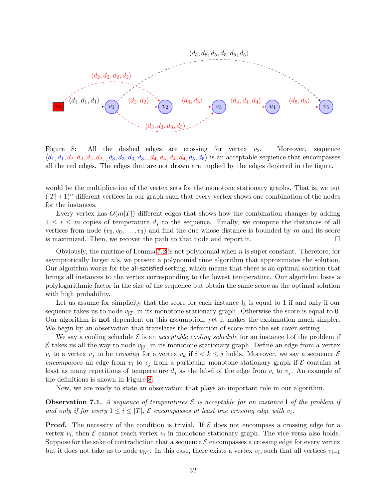<span id="page-31-0"></span>

Figure 8: All the dashed edges are crossing for vertex  $v_2$ . Moreover, sequence  $\langle d_1, d_1, d_2, d_2, d_2, d_3, d_3, d_3, d_3, d_4, d_4, d_4, d_5, d_6 \rangle$  is an acceptable sequence that encompasses all the red edges. The edges that are not drawn are implied by the edges depicted in the figure.

would be the multiplication of the vertex sets for the monotone stationary graphs. That is, we put  $(|T|+1)^n$  different vertices in our graph such that every vertex shows one combination of the nodes for the instances.

Every vertex has  $O(m|T|)$  different edges that shows how the combination changes by adding  $1 \leq i \leq m$  copies of temperature  $d_i$  to the sequence. Finally, we compute the distances of all vertices from node  $(v_0, v_0, \ldots, v_0)$  and find the one whose distance is bounded by m and its score is maximized. Then, we recover the path to that node and report it.

Obviously, the runtime of Lemma [7.2](#page-30-1) is not polynomial when  $n$  is super constant. Therefore, for asymptotically larger  $n$ 's, we present a polynomial time algorithm that approximates the solution. Our algorithm works for the all-satisfied setting, which means that there is an optimal solution that brings all instances to the vertex corresponding to the lowest temperature. Our algorithm loses a polylogarithmic factor in the size of the sequence but obtain the same score as the optimal solution with high probability.

Let us assume for simplicity that the score for each instance  $I_k$  is equal to 1 if and only if our sequence takes us to node  $v_{|T|}$  in its monotone stationary graph. Otherwise the score is equal to 0. Our algorithm is not dependent on this assumption, yet it makes the explanation much simpler. We begin by an observation that translates the definition of score into the set cover setting.

We say a cooling schedule  $\mathcal E$  is an *acceptable cooling schedule* for an instance I of the problem if  $\mathcal E$  takes us all the way to node  $v_{|T|}$  in its monotone stationary graph. Define an edge from a vertex  $v_i$  to a vertex  $v_j$  to be *crossing* for a vertex  $v_k$  if  $i < k \leq j$  holds. Moreover, we say a sequence  $\mathcal E$ encompasses an edge from  $v_i$  to  $v_j$  from a particular monotone stationary graph if  $\mathcal E$  contains at least as many repetitions of temperature  $d_i$  as the label of the edge from  $v_i$  to  $v_j$ . An example of the definitions is shown in Figure [8.](#page-31-0)

Now, we are ready to state an observation that plays an important role in our algorithm.

<span id="page-31-1"></span>**Observation 7.1.** A sequence of temperatures  $\mathcal{E}$  is acceptable for an instance I of the problem if and only if for every  $1 \leq i \leq |T|$ ,  $\mathcal E$  encompasses at least one crossing edge with  $v_i$ .

**Proof.** The necessity of the condition is trivial. If  $\mathcal{E}$  does not encompass a crossing edge for a vertex  $v_i$ , then  $\mathcal E$  cannot reach vertex  $v_i$  in monotone stationary graph. The vice versa also holds. Suppose for the sake of contradiction that a sequence  $\mathcal E$  encompasses a crossing edge for every vertex but it does not take us to node  $v_{|T|}$ . In this case, there exists a vertex  $v_i$ , such that all vertices  $v_{i-1}$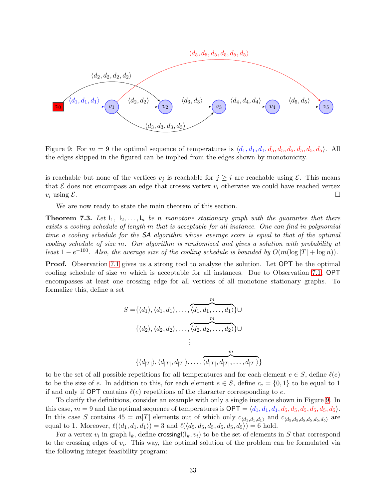<span id="page-32-0"></span>

Figure 9: For  $m = 9$  the optimal sequence of temperatures is  $\langle d_1, d_1, d_1, d_5, d_5, d_5, d_5, d_5, d_6 \rangle$ . All the edges skipped in the figured can be implied from the edges shown by monotonicity.

is reachable but none of the vertices  $v_j$  is reachable for  $j \geq i$  are reachable using  $\mathcal{E}$ . This means that  $\mathcal E$  does not encompass an edge that crosses vertex  $v_i$  otherwise we could have reached vertex  $v_i$  using  $\mathcal E$ .  $v_i$  using  $\mathcal{E}$ .

We are now ready to state the main theorem of this section.

**Theorem 7.3.** Let  $I_1, I_2, \ldots, I_n$  be n monotone stationary graph with the guarantee that there exists a cooling schedule of length m that is acceptable for all instance. One can find in polynomial time a cooling schedule for the SA algorithm whose average score is equal to that of the optimal cooling schedule of size m. Our algorithm is randomized and gives a solution with probability at least  $1 - e^{-100}$ . Also, the average size of the cooling schedule is bounded by  $O(m(\log |T| + \log n))$ .

**Proof.** Observation [7.1](#page-31-1) gives us a strong tool to analyze the solution. Let OPT be the optimal cooling schedule of size m which is acceptable for all instances. Due to Observation [7.1,](#page-31-1) OPT encompasses at least one crossing edge for all vertices of all monotone stationary graphs. To formalize this, define a set

$$
S = \{ \langle d_1 \rangle, \langle d_1, d_1 \rangle, \dots, \overbrace{\langle d_1, d_1, \dots, d_1 \rangle}^m \} \cup
$$
  

$$
\{ \langle d_2 \rangle, \langle d_2, d_2 \rangle, \dots, \overbrace{\langle d_2, d_2, \dots, d_2 \rangle}^m \} \cup
$$
  

$$
\vdots
$$
  

$$
\{ \langle d_{|T|} \rangle, \langle d_{|T|}, d_{|T|} \rangle, \dots, \overbrace{\langle d_{|T|}, d_{|T|}, \dots, d_{|T|} \rangle}^m \}
$$

to be the set of all possible repetitions for all temperatures and for each element  $e \in S$ , define  $\ell(e)$ to be the size of e. In addition to this, for each element  $e \in S$ , define  $c_e = \{0,1\}$  to be equal to 1 if and only if OPT contains  $\ell(e)$  repetitions of the character corresponding to e.

To clarify the definitions, consider an example with only a single instance shown in Figure [9.](#page-32-0) In this case,  $m = 9$  and the optimal sequence of temperatures is  $\text{OPT} = \langle d_1, d_1, d_1, d_5, d_5, d_5, d_5, d_5, d_5 \rangle$ . In this case S contains  $45 = m|T|$  elements out of which only  $c_{\langle d_1,d_1,d_1\rangle}$  and  $c_{\langle d_5,d_5,d_5,d_5,d_5,d_5\rangle}$  are equal to 1. Moreover,  $\ell(\langle d_1, d_1, d_1 \rangle) = 3$  and  $\ell(\langle d_5, d_5, d_5, d_5, d_5 \rangle) = 6$  hold.

For a vertex  $v_i$  in graph  $I_k$ , define crossingl $(I_k, v_i)$  to be the set of elements in S that correspond to the crossing edges of  $v_i$ . This way, the optimal solution of the problem can be formulated via the following integer feasibility program: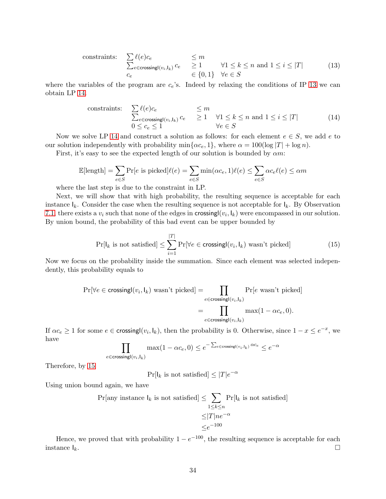<span id="page-33-0"></span>constraints:

\n
$$
\sum_{c} \ell(e)c_e \leq m
$$
\n
$$
\sum_{c \in \mathsf{crossingl}(v_i, \mathsf{l}_k)} c_e \leq 1 \qquad \forall 1 \leq k \leq n \text{ and } 1 \leq i \leq |T|
$$
\n
$$
\in \{0, 1\} \quad \forall e \in S
$$
\n
$$
(13)
$$

where the variables of the program are  $c_e$ 's. Indeed by relaxing the conditions of IP [13](#page-33-0) we can obtain LP [14.](#page-33-1)

<span id="page-33-1"></span>constraints:

\n
$$
\sum_{e \in \text{crossing} \mid (v_i, l_k)} \sum_{e \in \text{crossing} \mid (v_i, l_k)} c_e \quad \leq m
$$
\n
$$
0 \leq c_e \leq 1 \quad \forall 1 \leq k \leq n \text{ and } 1 \leq i \leq |T|
$$
\n(14)

Now we solve LP [14](#page-33-1) and construct a solution as follows: for each element  $e \in S$ , we add e to our solution independently with probability min $\{\alpha c_e, 1\}$ , where  $\alpha = 100(\log |T| + \log n)$ .

First, it's easy to see the expected length of our solution is bounded by  $\alpha m$ :

$$
\mathbb{E}[\text{length}] = \sum_{e \in S} \Pr[e \text{ is picked}]\ell(e) = \sum_{e \in S} \min(\alpha c_e, 1)\ell(e) \le \sum_{e \in S} \alpha c_e \ell(e) \le \alpha m
$$

where the last step is due to the constraint in LP.

Next, we will show that with high probability, the resulting sequence is acceptable for each instance  $I_k$ . Consider the case when the resulting sequence is not acceptable for  $I_k$ . By Observation [7.1,](#page-31-1) there exists a  $v_i$  such that none of the edges in crossing  $(v_i, l_k)$  were encompassed in our solution. By union bound, the probability of this bad event can be upper bounded by

<span id="page-33-2"></span>
$$
\Pr[l_k \text{ is not satisfied}] \le \sum_{i=1}^{|T|} \Pr[\forall e \in \text{crossingl}(v_i, l_k) \text{ wasn't picked}] \tag{15}
$$

Now we focus on the probability inside the summation. Since each element was selected independently, this probability equals to

$$
\Pr[\forall e \in \text{crossingl}(v_i, \mathbf{l}_k) \text{ wasn't picked}] = \prod_{e \in \text{crossingl}(v_i, \mathbf{l}_k)} \Pr[e \text{ wasn't picked}]
$$

$$
= \prod_{e \in \text{crossingl}(v_i, \mathbf{l}_k)} \max(1 - \alpha c_e, 0).
$$

If  $\alpha c_e \ge 1$  for some  $e \in \text{crossing}(v_i, l_k)$ , then the probability is 0. Otherwise, since  $1 - x \le e^{-x}$ , we have

$$
\prod_{e \in \text{crossing}(v_i, l_k)} \max(1 - \alpha c_e, 0) \le e^{-\sum_{e \in \text{crossing}(v_i, l_k)} \alpha c_e} \le e^{-\alpha}
$$

Therefore, by [15](#page-33-2)

$$
\Pr[l_k \text{ is not satisfied}] \le |T|e^{-\alpha}
$$

Using union bound again, we have

$$
\Pr[\text{any instance } \mathsf{l}_k \text{ is not satisfied}] \le \sum_{1 \le k \le n} \Pr[\mathsf{l}_k \text{ is not satisfied}]
$$

$$
\le |T|ne^{-\alpha}
$$

$$
\le e^{-100}
$$

Hence, we proved that with probability  $1 - e^{-100}$ , the resulting sequence is acceptable for each instance  $I_k$ .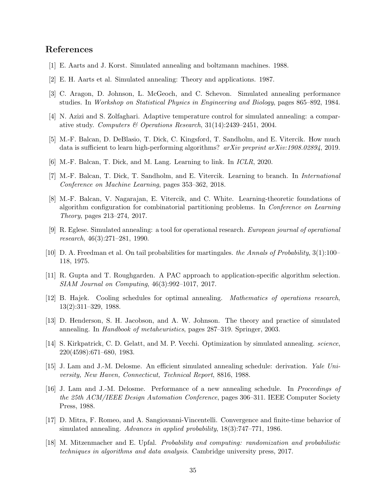## References

- <span id="page-34-2"></span>[1] E. Aarts and J. Korst. Simulated annealing and boltzmann machines. 1988.
- <span id="page-34-12"></span>[2] E. H. Aarts et al. Simulated annealing: Theory and applications. 1987.
- <span id="page-34-0"></span>[3] C. Aragon, D. Johnson, L. McGeoch, and C. Schevon. Simulated annealing performance studies. In Workshop on Statistical Physics in Engineering and Biology, pages 865–892, 1984.
- <span id="page-34-3"></span>[4] N. Azizi and S. Zolfaghari. Adaptive temperature control for simulated annealing: a comparative study. Computers & Operations Research,  $31(14):2439-2451$ , 2004.
- <span id="page-34-7"></span>[5] M.-F. Balcan, D. DeBlasio, T. Dick, C. Kingsford, T. Sandholm, and E. Vitercik. How much data is sufficient to learn high-performing algorithms?  $arXiv$  preprint  $arXiv:1908.02894$ , 2019.
- <span id="page-34-8"></span>[6] M.-F. Balcan, T. Dick, and M. Lang. Learning to link. In ICLR, 2020.
- <span id="page-34-9"></span>[7] M.-F. Balcan, T. Dick, T. Sandholm, and E. Vitercik. Learning to branch. In *International* Conference on Machine Learning, pages 353–362, 2018.
- <span id="page-34-10"></span>[8] M.-F. Balcan, V. Nagarajan, E. Vitercik, and C. White. Learning-theoretic foundations of algorithm configuration for combinatorial partitioning problems. In Conference on Learning Theory, pages 213–274, 2017.
- <span id="page-34-13"></span>[9] R. Eglese. Simulated annealing: a tool for operational research. European journal of operational research, 46(3):271–281, 1990.
- <span id="page-34-16"></span>[10] D. A. Freedman et al. On tail probabilities for martingales. the Annals of Probability, 3(1):100– 118, 1975.
- <span id="page-34-6"></span>[11] R. Gupta and T. Roughgarden. A PAC approach to application-specific algorithm selection. SIAM Journal on Computing, 46(3):992–1017, 2017.
- <span id="page-34-11"></span>[12] B. Hajek. Cooling schedules for optimal annealing. Mathematics of operations research, 13(2):311–329, 1988.
- <span id="page-34-14"></span>[13] D. Henderson, S. H. Jacobson, and A. W. Johnson. The theory and practice of simulated annealing. In Handbook of metaheuristics, pages 287–319. Springer, 2003.
- <span id="page-34-1"></span>[14] S. Kirkpatrick, C. D. Gelatt, and M. P. Vecchi. Optimization by simulated annealing. *science*. 220(4598):671–680, 1983.
- <span id="page-34-4"></span>[15] J. Lam and J.-M. Delosme. An efficient simulated annealing schedule: derivation. Yale University, New Haven, Connecticut, Technical Report, 8816, 1988.
- <span id="page-34-5"></span>[16] J. Lam and J.-M. Delosme. Performance of a new annealing schedule. In Proceedings of the 25th ACM/IEEE Design Automation Conference, pages 306–311. IEEE Computer Society Press, 1988.
- <span id="page-34-15"></span>[17] D. Mitra, F. Romeo, and A. Sangiovanni-Vincentelli. Convergence and finite-time behavior of simulated annealing. Advances in applied probability, 18(3):747–771, 1986.
- <span id="page-34-17"></span>[18] M. Mitzenmacher and E. Upfal. Probability and computing: randomization and probabilistic techniques in algorithms and data analysis. Cambridge university press, 2017.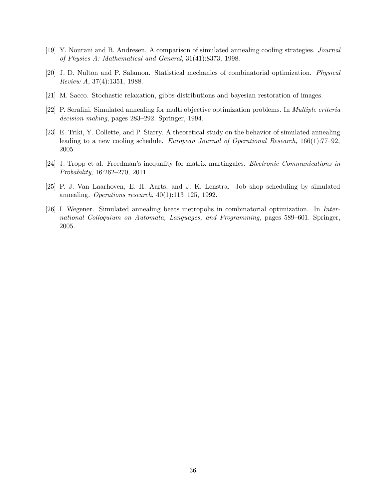- <span id="page-35-0"></span>[19] Y. Nourani and B. Andresen. A comparison of simulated annealing cooling strategies. Journal of Physics A: Mathematical and General, 31(41):8373, 1998.
- <span id="page-35-1"></span>[20] J. D. Nulton and P. Salamon. Statistical mechanics of combinatorial optimization. Physical Review A, 37(4):1351, 1988.
- <span id="page-35-2"></span>[21] M. Sacco. Stochastic relaxation, gibbs distributions and bayesian restoration of images.
- <span id="page-35-5"></span>[22] P. Serafini. Simulated annealing for multi objective optimization problems. In Multiple criteria decision making, pages 283–292. Springer, 1994.
- <span id="page-35-3"></span>[23] E. Triki, Y. Collette, and P. Siarry. A theoretical study on the behavior of simulated annealing leading to a new cooling schedule. European Journal of Operational Research, 166(1):77–92, 2005.
- <span id="page-35-7"></span>[24] J. Tropp et al. Freedman's inequality for matrix martingales. Electronic Communications in Probability, 16:262–270, 2011.
- <span id="page-35-6"></span>[25] P. J. Van Laarhoven, E. H. Aarts, and J. K. Lenstra. Job shop scheduling by simulated annealing. Operations research,  $40(1):113-125$ , 1992.
- <span id="page-35-4"></span>[26] I. Wegener. Simulated annealing beats metropolis in combinatorial optimization. In International Colloquium on Automata, Languages, and Programming, pages 589–601. Springer, 2005.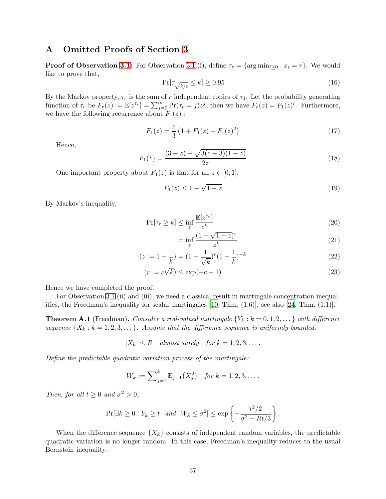## A Omitted Proofs of Section [3](#page-13-1)

**Proof of Observation [3.1:](#page-14-1)** For Observation [3.1.](#page-14-1)(i), define  $\tau_r = \{\arg \min_{i \geq 0} : x_i = r\}$ . We would like to prove that,

$$
\Pr[\tau_{\sqrt{k/c}} \le k] \ge 0.95\tag{16}
$$

By the Markov property,  $\tau_r$  is the sum of r independent copies of  $\tau_1$ . Let the probability generating function of  $\tau_r$  be  $F_r(z) := \mathbb{E}[z^{\tau_r}] = \sum_{j=0}^{\infty} \Pr(\tau_r = j) z^j$ , then we have  $F_r(z) = F_1(z)^r$ . Furthermore, we have the following recurrence about  $F_1(z)$ :

$$
F_1(z) = \frac{z}{3} \left( 1 + F_1(z) + F_1(z)^2 \right) \tag{17}
$$

Hence,

$$
F_1(z) = \frac{(3-z) - \sqrt{3(z+3)(1-z)}}{2z} \tag{18}
$$

One important property about  $F_1(z)$  is that for all  $z \in [0,1]$ ,

$$
F_1(z) \le 1 - \sqrt{1 - z} \tag{19}
$$

By Markov's inequality,

$$
\Pr[\tau_r \ge k] \le \inf_z \frac{\mathbb{E}[z^{\tau_r}]}{z^k} \tag{20}
$$

$$
= \inf_{z} \frac{(1 - \sqrt{1 - z})^r}{z^k} \tag{21}
$$

$$
(z := 1 - \frac{1}{k}) = (1 - \frac{1}{\sqrt{k}})^r (1 - \frac{1}{k})^{-k}
$$
\n(22)

$$
(r := c\sqrt{k}) \le \exp(-c - 1)
$$
\n(23)

Hence we have completed the proof.

For Observation [3.1.](#page-14-1)(ii) and (iii), we need a classical result in martingale concentration inequalities, the Freedman's inequality for scalar martingales [\[10,](#page-34-16) Thm. (1.6)], see also [\[24,](#page-35-7) Thm. (1.1)].

**Theorem A.1** (Freedman). Consider a real-valued martingale  $\{Y_k : k = 0, 1, 2, \ldots\}$  with difference sequence  $\{X_k : k = 1, 2, 3, \dots\}$ . Assume that the difference sequence is uniformly bounded:

$$
|X_k| \le R \quad almost \ surely \quad for \ k = 1, 2, 3, \dots.
$$

Define the predictable quadratic variation process of the martingale:

$$
W_k := \sum_{j=1}^k \mathbb{E}_{j-1}(X_j^2) \quad \text{for } k = 1, 2, 3, \dots.
$$

Then, for all  $t \geq 0$  and  $\sigma^2 > 0$ ,

$$
\Pr[\exists k \ge 0 : Y_k \ge t \quad and \quad W_k \le \sigma^2] \le \exp\left\{-\frac{t^2/2}{\sigma^2 + Rt/3}\right\}.
$$

When the difference sequence  $\{X_k\}$  consists of independent random variables, the predictable quadratic variation is no longer random. In this case, Freedman's inequality reduces to the usual Bernstein inequality.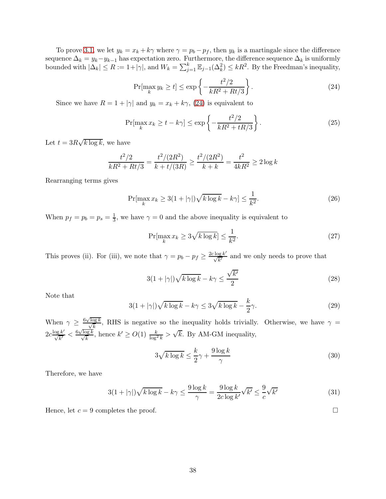To prove [3.1,](#page-14-1) we let  $y_k = x_k + k\gamma$  where  $\gamma = p_b - p_f$ , then  $y_k$  is a martingale since the difference sequence  $\Delta_k = y_k - y_{k-1}$  has expectation zero. Furthermore, the difference sequence  $\Delta_k$  is uniformly bounded with  $|\Delta_k| \le R := 1 + |\gamma|$ , and  $W_k = \sum_{j=1}^k \mathbb{E}_{j-1}(\Delta_k^2) \le kR^2$ . By the Freedman's inequality,

<span id="page-37-0"></span>
$$
\Pr[\max_{k} y_k \ge t] \le \exp\left\{-\frac{t^2/2}{kR^2 + Rt/3}\right\}.
$$
\n(24)

Since we have  $R = 1 + |\gamma|$  and  $y_k = x_k + k\gamma$ , [\(24\)](#page-37-0) is equivalent to

$$
\Pr[\max_{k} x_k \ge t - k\gamma] \le \exp\left\{-\frac{t^2/2}{kR^2 + tR/3}\right\}.
$$
\n(25)

Let  $t = 3R\sqrt{k \log k}$ , we have

$$
\frac{t^2/2}{kR^2 + Rt/3} = \frac{t^2/(2R^2)}{k + t/(3R)} \ge \frac{t^2/(2R^2)}{k + k} = \frac{t^2}{4kR^2} \ge 2\log k
$$

Rearranging terms gives

$$
\Pr[\max_{k} x_k \ge 3(1+|\gamma|)\sqrt{k\log k} - k\gamma] \le \frac{1}{k^2}.\tag{26}
$$

When  $p_f = p_b = p_s = \frac{1}{3}$ , we have  $\gamma = 0$  and the above inequality is equivalent to

$$
\Pr[\max_{k} x_k \ge 3\sqrt{k \log k}] \le \frac{1}{k^2}.\tag{27}
$$

This proves (ii). For (iii), we note that  $\gamma = p_b - p_f \geq \frac{2c \log k'}{\sqrt{k'}}$  and we only needs to prove that

$$
3(1+|\gamma|)\sqrt{k\log k} - k\gamma \le \frac{\sqrt{k'}}{2}
$$
 (28)

Note that

$$
3(1+|\gamma|)\sqrt{k\log k} - k\gamma \le 3\sqrt{k\log k} - \frac{k}{2}\gamma.
$$
 (29)

When  $\gamma \geq \frac{6\sqrt{\log k}}{\sqrt{k}}$ , RHS is negative so the inequality holds trivially. Otherwise, we have  $\gamma =$  $2c \frac{\log k'}{\sqrt{k'}} < \frac{6\sqrt{\log k}}{\sqrt{k}}$ , hence  $k' \ge O(1)$   $\frac{k}{\log^2 k} > \sqrt{k}$ . By AM-GM inequality,

$$
3\sqrt{k\log k} \le \frac{k}{2}\gamma + \frac{9\log k}{\gamma} \tag{30}
$$

Therefore, we have

$$
3(1+|\gamma|)\sqrt{k\log k} - k\gamma \le \frac{9\log k}{\gamma} = \frac{9\log k}{2c\log k'}\sqrt{k'} \le \frac{9}{c}\sqrt{k'}
$$
 (31)

Hence, let  $c = 9$  completes the proof.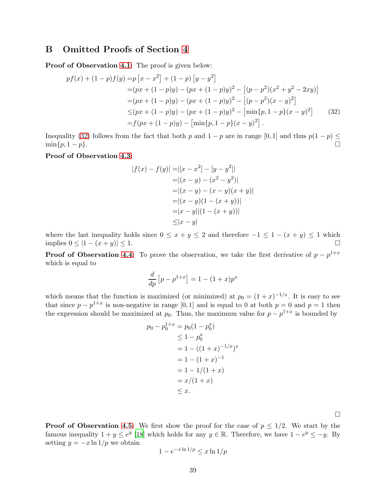### B Omitted Proofs of Section [4](#page-17-0)

Proof of Observation [4.1:](#page-17-3) The proof is given below:

$$
pf(x) + (1-p)f(y) = p[x - x2] + (1-p)[y - y2] = (px + (1-p)y) - (px + (1-p)y)2 - [(p-p2)(x2 + y2 - 2xy)] = (px + (1-p)y) - (px + (1-p)y)2 - [(p-p2)(x - y)2] \leq (px + (1-p)y) - (px + (1-p)y)2 - [min{p, 1-p}(x - y)2] = f(px + (1-p)y) - [min{p, 1-p}(x - y)2]. (32)
$$

Inequality [\(32\)](#page-38-0) follows from the fact that both p and  $1 - p$  are in range [0, 1] and thus  $p(1 - p) \le \min\{p, 1 - p\}$ .  $\min\{p, 1-p\}.$ 

#### Proof of Observation [4.3:](#page-17-4)

<span id="page-38-0"></span>
$$
|f(x) - f(y)| = |[x - x^{2}] - [y - y^{2}]|
$$
  
\n
$$
= |(x - y) - (x^{2} - y^{2})|
$$
  
\n
$$
= |(x - y) - (x - y)(x + y)|
$$
  
\n
$$
= |(x - y)(1 - (x + y))|
$$
  
\n
$$
= |x - y||(1 - (x + y))|
$$
  
\n
$$
\leq |x - y|
$$

where the last inequality holds since  $0 \le x + y \le 2$  and therefore  $-1 \le 1 - (x + y) \le 1$  which implies  $0 \le |1 - (x + y)| \le 1$ . implies  $0 \le |1 - (x + y)| \le 1$ .

**Proof of Observation [4.4:](#page-17-2)** To prove the observation, we take the first derivative of  $p - p^{1+x}$ which is equal to

$$
\frac{d}{dp}\left[p - p^{1+x}\right] = 1 - (1+x)p^x
$$

which means that the function is maximized (or minimized) at  $p_0 = (1+x)^{-1/x}$ . It is easy to see that since  $p - p^{1+x}$  is non-negative in range [0, 1] and is equal to 0 at both  $p = 0$  and  $p = 1$  then the expression should be maximized at  $p_0$ . Thus, the maximum value for  $p - p^{1+x}$  is bounded by

$$
p_0 - p_0^{1+x} = p_0(1 - p_0^x)
$$
  
\n
$$
\leq 1 - p_0^x
$$
  
\n
$$
= 1 - ((1 + x)^{-1/x})^x
$$
  
\n
$$
= 1 - (1 + x)^{-1}
$$
  
\n
$$
= 1 - 1/(1 + x)
$$
  
\n
$$
= x/(1 + x)
$$
  
\n
$$
\leq x.
$$

 $\Box$ 

**Proof of Observation [4.5:](#page-17-1)** We first show the proof for the case of  $p \leq 1/2$ . We start by the famous inequality  $1 + y \leq e^y$  [\[18](#page-34-17)] which holds for any  $y \in \mathbb{R}$ . Therefore, we have  $1 - e^y \leq -y$ . By setting  $y = -x \ln 1/p$  we obtain

$$
1 - e^{-x \ln 1/p} \le x \ln 1/p
$$